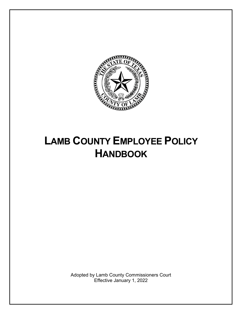

# <span id="page-0-0"></span>**LAMB COUNTY EMPLOYEE POLICY HANDBOOK**

Adopted by Lamb County Commissioners Court Effective January 1, 2022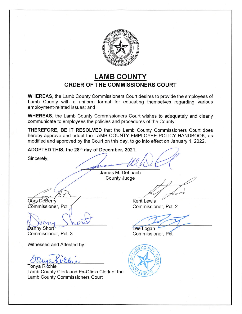

### **LAMB COUNTY ORDER OF THE COMMISSIONERS COURT**

**WHEREAS**, the Lamb County Commissioners Court desires to provide the employees of Lamb County with a uniform format for educating themselves regarding various employment-related issues; and

**WHEREAS**, the Lamb County Commissioners Court wishes to adequately and clearly communicate to employees the policies and procedures of the County:

THEREFORE, BE IT RESOLVED that the Lamb County Commissioners Court does hereby approve and adopt the LAMB COUNTY EMPLOYEE POLICY HANDBOOK, as modified and approved by the Court on this day, to go into effect on January 1, 2022.

ADOPTED THIS, the 28th day of December, 2021.

Sincerely,

James M. DeLoach County Judge

Cory DeBerry Commissioner, Pct.

Danny Short Commissioner, Pct. 3

Witnessed and Attested by:

Tonya Ritchie Lamb County Clerk and Ex-Oficio Clerk of the Lamb County Commissioners Court

**Kent Lewis** Commissioner, Pct. 2

Lee Logan

Commissioner, Pct.

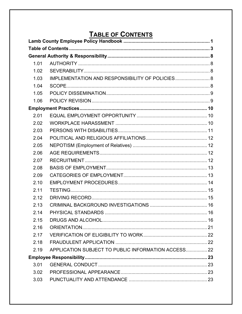## **TABLE OF CONTENTS**

<span id="page-2-0"></span>

| 1.01 |                                                     |  |
|------|-----------------------------------------------------|--|
| 1.02 |                                                     |  |
| 1.03 | IMPLEMENTATION AND RESPONSIBILITY OF POLICIES 8     |  |
| 1.04 |                                                     |  |
| 1.05 |                                                     |  |
| 1.06 |                                                     |  |
|      |                                                     |  |
| 2.01 |                                                     |  |
| 2.02 |                                                     |  |
| 2.03 |                                                     |  |
| 2.04 |                                                     |  |
| 2.05 |                                                     |  |
| 2.06 |                                                     |  |
| 2.07 |                                                     |  |
| 2.08 |                                                     |  |
| 2.09 |                                                     |  |
| 2.10 |                                                     |  |
| 2.11 |                                                     |  |
| 2.12 |                                                     |  |
| 2.13 |                                                     |  |
| 2.14 |                                                     |  |
| 2.15 |                                                     |  |
| 2.16 |                                                     |  |
| 2.17 |                                                     |  |
| 2.18 |                                                     |  |
| 2.19 | APPLICATION SUBJECT TO PUBLIC INFORMATION ACCESS 22 |  |
|      |                                                     |  |
| 3.01 |                                                     |  |
| 3.02 |                                                     |  |
| 3.03 |                                                     |  |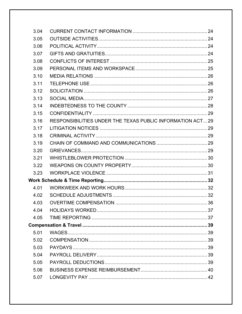| 3.04 |                                                           |  |
|------|-----------------------------------------------------------|--|
| 3.05 |                                                           |  |
| 3.06 |                                                           |  |
| 3.07 |                                                           |  |
| 3.08 |                                                           |  |
| 3.09 |                                                           |  |
| 3.10 |                                                           |  |
| 3.11 |                                                           |  |
| 3.12 |                                                           |  |
| 3.13 |                                                           |  |
| 3.14 |                                                           |  |
| 3.15 |                                                           |  |
| 3.16 | RESPONSIBILITIES UNDER THE TEXAS PUBLIC INFORMATION ACT29 |  |
| 3.17 |                                                           |  |
| 3.18 |                                                           |  |
| 3.19 |                                                           |  |
| 3.20 |                                                           |  |
| 3.21 |                                                           |  |
| 3.22 |                                                           |  |
| 3.23 |                                                           |  |
|      |                                                           |  |
| 4.01 |                                                           |  |
| 4.02 |                                                           |  |
| 4.03 |                                                           |  |
| 4.04 |                                                           |  |
| 4.05 |                                                           |  |
|      |                                                           |  |
| 5.01 |                                                           |  |
| 5.02 |                                                           |  |
| 5.03 |                                                           |  |
| 5.04 |                                                           |  |
| 5.05 |                                                           |  |
| 5.06 |                                                           |  |
| 5.07 |                                                           |  |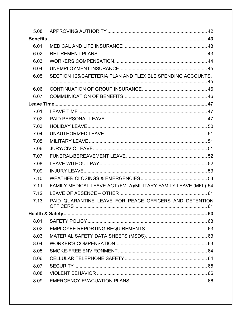| 5.08 |                                                                |  |
|------|----------------------------------------------------------------|--|
|      |                                                                |  |
| 6.01 |                                                                |  |
| 6.02 |                                                                |  |
| 6.03 |                                                                |  |
| 6.04 |                                                                |  |
| 6.05 | SECTION 125/CAFETERIA PLAN AND FLEXIBLE SPENDING ACCOUNTS.     |  |
| 6.06 |                                                                |  |
| 6.07 |                                                                |  |
|      |                                                                |  |
| 7.01 |                                                                |  |
| 7.02 |                                                                |  |
| 7.03 |                                                                |  |
| 7.04 |                                                                |  |
| 7.05 |                                                                |  |
| 7.06 |                                                                |  |
| 7.07 |                                                                |  |
| 7.08 |                                                                |  |
| 7.09 |                                                                |  |
| 7.10 |                                                                |  |
| 7.11 | FAMILY MEDICAL LEAVE ACT (FMLA)/MILITARY FAMILY LEAVE (MFL) 54 |  |
| 7.12 |                                                                |  |
| 7.13 | PAID QUARANTINE LEAVE FOR PEACE OFFICERS AND DETENTION         |  |
|      |                                                                |  |
| 8.01 |                                                                |  |
| 8.02 |                                                                |  |
| 8.03 |                                                                |  |
| 8.04 |                                                                |  |
| 8.05 |                                                                |  |
| 8.06 |                                                                |  |
| 8.07 |                                                                |  |
| 8.08 |                                                                |  |
| 8.09 |                                                                |  |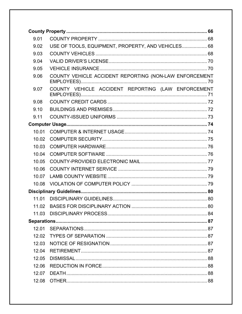| 9.01  |                                                        |  |  |
|-------|--------------------------------------------------------|--|--|
| 9.02  | USE OF TOOLS, EQUIPMENT, PROPERTY, AND VEHICLES 68     |  |  |
| 9.03  |                                                        |  |  |
| 9.04  |                                                        |  |  |
| 9.05  |                                                        |  |  |
| 9.06  | COUNTY VEHICLE ACCIDENT REPORTING (NON-LAW ENFORCEMENT |  |  |
| 9.07  | COUNTY VEHICLE ACCIDENT REPORTING (LAW ENFORCEMENT     |  |  |
| 9.08  |                                                        |  |  |
| 9.10  |                                                        |  |  |
| 9.11  |                                                        |  |  |
|       |                                                        |  |  |
| 10.01 |                                                        |  |  |
| 10.02 |                                                        |  |  |
| 10.03 |                                                        |  |  |
| 10.04 |                                                        |  |  |
| 10.05 |                                                        |  |  |
| 10.06 |                                                        |  |  |
| 10.07 |                                                        |  |  |
| 10.08 |                                                        |  |  |
|       |                                                        |  |  |
| 11.01 |                                                        |  |  |
|       |                                                        |  |  |
| 11.03 |                                                        |  |  |
|       |                                                        |  |  |
| 12.01 |                                                        |  |  |
| 12.02 |                                                        |  |  |
| 12.03 |                                                        |  |  |
| 12.04 |                                                        |  |  |
| 12.05 |                                                        |  |  |
| 12.06 |                                                        |  |  |
| 12.07 |                                                        |  |  |
| 12.08 |                                                        |  |  |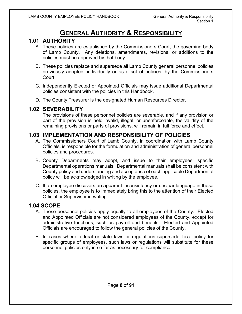## **GENERAL AUTHORITY & RESPONSIBILITY**

#### <span id="page-7-1"></span><span id="page-7-0"></span>**1.01 AUTHORITY**

- A. These policies are established by the Commissioners Court, the governing body of Lamb County. Any deletions, amendments, revisions, or additions to the policies must be approved by that body.
- B. These policies replace and supersede all Lamb County general personnel policies previously adopted, individually or as a set of policies, by the Commissioners **Court.**
- C. Independently Elected or Appointed Officials may issue additional Departmental policies consistent with the policies in this Handbook.
- D. The County Treasurer is the designated Human Resources Director.

#### <span id="page-7-2"></span>**1.02 SEVERABILITY**

The provisions of these personnel policies are severable, and if any provision or part of the provision is held invalid, illegal, or unenforceable, the validity of the remaining provisions or parts of provisions, will remain in full force and effect.

#### <span id="page-7-3"></span>**1.03 IMPLEMENTATION AND RESPONSIBILITY OF POLICIES**

- A. The Commissioners Court of Lamb County, in coordination with Lamb County Officials, is responsible for the formulation and administration of general personnel policies and procedures.
- B. County Departments may adopt, and issue to their employees, specific Departmental operations manuals. Departmental manuals shall be consistent with County policy and understanding and acceptance of each applicable Departmental policy will be acknowledged in writing by the employee.
- C. If an employee discovers an apparent inconsistency or unclear language in these policies, the employee is to immediately bring this to the attention of their Elected Official or Supervisor in writing.

#### <span id="page-7-4"></span>**1.04 SCOPE**

- A. These personnel policies apply equally to all employees of the County. Elected and Appointed Officials are not considered employees of the County, except for administrative functions, such as payroll and benefits. Elected and Appointed Officials are encouraged to follow the general policies of the County.
- B. In cases where federal or state laws or regulations supersede local policy for specific groups of employees, such laws or regulations will substitute for these personnel policies only in so far as necessary for compliance.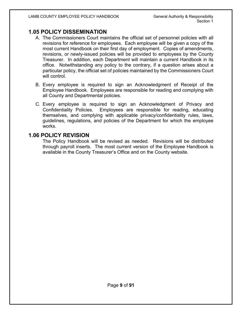#### <span id="page-8-0"></span>**1.05 POLICY DISSEMINATION**

- A. The Commissioners Court maintains the official set of personnel policies with all revisions for reference for employees. Each employee will be given a copy of the most current Handbook on their first day of employment. Copies of amendments, revisions, or newly-issued policies will be provided to employees by the County Treasurer. In addition, each Department will maintain a current Handbook in its office. Notwithstanding any policy to the contrary, if a question arises about a particular policy, the official set of policies maintained by the Commissioners Court will control.
- B. Every employee is required to sign an Acknowledgment of Receipt of the Employee Handbook. Employees are responsible for reading and complying with all County and Departmental policies.
- C. Every employee is required to sign an Acknowledgment of Privacy and Confidentiality Policies. Employees are responsible for reading, educating themselves, and complying with applicable privacy/confidentiality rules, laws, guidelines, regulations, and policies of the Department for which the employee works.

#### <span id="page-8-1"></span>**1.06 POLICY REVISION**

The Policy Handbook will be revised as needed. Revisions will be distributed through payroll inserts. The most current version of the Employee Handbook is available in the County Treasurer's Office and on the County website.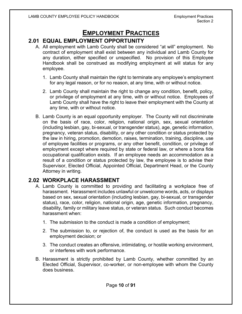## **EMPLOYMENT PRACTICES**

#### <span id="page-9-1"></span><span id="page-9-0"></span>**2.01 EQUAL EMPLOYMENT OPPORTUNITY**

- A. All employment with Lamb County shall be considered "at will" employment. No contract of employment shall exist between any individual and Lamb County for any duration, either specified or unspecified. No provision of this Employee Handbook shall be construed as modifying employment at will status for any employee.
	- 1. Lamb County shall maintain the right to terminate any employee's employment for any legal reason, or for no reason, at any time, with or without notice.
	- 2. Lamb County shall maintain the right to change any condition, benefit, policy, or privilege of employment at any time, with or without notice. Employees of Lamb County shall have the right to leave their employment with the County at any time, with or without notice.
- B. Lamb County is an equal opportunity employer. The County will not discriminate on the basis of race, color, religion, national origin, sex, sexual orientation (including lesbian, gay, bi-sexual, or transgender status), age, genetic information, pregnancy, veteran status, disability, or any other condition or status protected by the law in hiring, promotion, demotion, raises, termination, training, discipline, use of employee facilities or programs, or any other benefit, condition, or privilege of employment except where required by state or federal law, or where a bona fide occupational qualification exists. If an employee needs an accommodation as a result of a condition or status protected by law, the employee is to advise their Supervisor, Elected Official, Appointed Official, Department Head, or the County Attorney in writing.

#### <span id="page-9-2"></span>**2.02 WORKPLACE HARASSMENT**

- A. Lamb County is committed to providing and facilitating a workplace free of harassment. Harassment includes unlawful or unwelcome words, acts, or displays based on sex, sexual orientation (including lesbian, gay, bi-sexual, or transgender status), race, color, religion, national origin, age, genetic information, pregnancy, disability, family or military leave status, or veteran status. Such conduct becomes harassment when:
	- 1. The submission to the conduct is made a condition of employment;
	- 2. The submission to, or rejection of, the conduct is used as the basis for an employment decision; or
	- 3. The conduct creates an offensive, intimidating, or hostile working environment, or interferes with work performance.
- B. Harassment is strictly prohibited by Lamb County, whether committed by an Elected Official, Supervisor, co-worker, or non-employee with whom the County does business.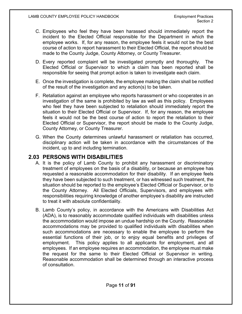- C. Employees who feel they have been harassed should immediately report the incident to the Elected Official responsible for the Department in which the employee works. If, for any reason, the employee feels it would not be the best course of action to report harassment to their Elected Official, the report should be made to the County Judge, County Attorney, or County Treasurer.
- D. Every reported complaint will be investigated promptly and thoroughly. The Elected Official or Supervisor to which a claim has been reported shall be responsible for seeing that prompt action is taken to investigate each claim.
- E. Once the investigation is complete, the employee making the claim shall be notified of the result of the investigation and any action(s) to be taken.
- F. Retaliation against an employee who reports harassment or who cooperates in an investigation of the same is prohibited by law as well as this policy. Employees who feel they have been subjected to retaliation should immediately report the situation to their Elected Official or Supervisor. If, for any reason, the employee feels it would not be the best course of action to report the retaliation to their Elected Official or Supervisor, the report should be made to the County Judge, County Attorney, or County Treasurer.
- G. When the County determines unlawful harassment or retaliation has occurred, disciplinary action will be taken in accordance with the circumstances of the incident, up to and including termination.

#### <span id="page-10-0"></span>**2.03 PERSONS WITH DISABILITIES**

- A. It is the policy of Lamb County to prohibit any harassment or discriminatory treatment of employees on the basis of a disability, or because an employee has requested a reasonable accommodation for their disability. If an employee feels they have been subjected to such treatment, or has witnessed such treatment, the situation should be reported to the employee's Elected Official or Supervisor, or to the County Attorney. All Elected Officials, Supervisors, and employees with responsibilities requiring knowledge of another employee's disability are instructed to treat it with absolute confidentiality.
- B. Lamb County's policy, in accordance with the Americans with Disabilities Act (ADA), is to reasonably accommodate qualified individuals with disabilities unless the accommodation would impose an undue hardship on the County. Reasonable accommodations may be provided to qualified individuals with disabilities when such accommodations are necessary to enable the employee to perform the essential functions of their job, or to enjoy equal benefits and privileges of employment. This policy applies to all applicants for employment, and all employees. If an employee requires an accommodation, the employee must make the request for the same to their Elected Official or Supervisor in writing. Reasonable accommodation shall be determined through an interactive process of consultation.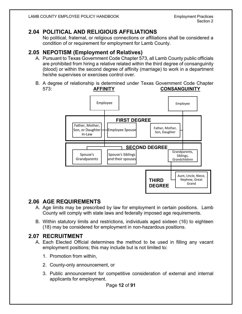#### <span id="page-11-0"></span>**2.04 POLITICAL AND RELIGIOUS AFFILIATIONS**

No political, fraternal, or religious connections or affiliations shall be considered a condition of or requirement for employment for Lamb County.

#### <span id="page-11-1"></span>**2.05 NEPOTISM (Employment of Relatives)**

- A. Pursuant to Texas Government Code Chapter 573, all Lamb County public officials are prohibited from hiring a relative related within the third degree of consanguinity (blood) or within the second degree of affinity (marriage) to work in a department he/she supervises or exercises control over.
- B. A degree of relationship is determined under Texas Government Code Chapter 573: **AFFINITY CONSANGUINITY**



#### <span id="page-11-2"></span>**2.06 AGE REQUIREMENTS**

- A. Age limits may be prescribed by law for employment in certain positions. Lamb County will comply with state laws and federally imposed age requirements.
- B. Within statutory limits and restrictions, individuals aged sixteen (16) to eighteen (18) may be considered for employment in non-hazardous positions.

#### <span id="page-11-3"></span>**2.07 RECRUITMENT**

- A. Each Elected Official determines the method to be used in filling any vacant employment positions; this may include but is not limited to:
	- 1. Promotion from within,
	- 2. County-only announcement, or
	- 3. Public announcement for competitive consideration of external and internal applicants for employment.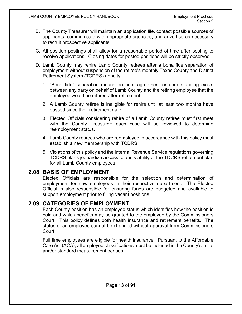- B. The County Treasurer will maintain an application file, contact possible sources of applicants, communicate with appropriate agencies, and advertise as necessary to recruit prospective applicants.
- C. All position postings shall allow for a reasonable period of time after posting to receive applications. Closing dates for posted positions will be strictly observed.
- D. Lamb County may rehire Lamb County retirees after a bona fide separation of employment without suspension of the retiree's monthly Texas County and District Retirement System (TCDRS) annuity.
	- 1. "Bona fide" separation means no prior agreement or understanding exists between any party on behalf of Lamb County and the retiring employee that the employee would be rehired after retirement.
	- 2. A Lamb County retiree is ineligible for rehire until at least two months have passed since their retirement date.
	- 3. Elected Officials considering rehire of a Lamb County retiree must first meet with the County Treasurer; each case will be reviewed to determine reemployment status.
	- 4. Lamb County retirees who are reemployed in accordance with this policy must establish a new membership with TCDRS.
	- 5. Violations of this policy and the Internal Revenue Service regulations governing TCDRS plans jeopardize access to and viability of the TDCRS retirement plan for all Lamb County employees.

#### <span id="page-12-0"></span>**2.08 BASIS OF EMPLOYMENT**

Elected Officials are responsible for the selection and determination of employment for new employees in their respective department. The Elected Official is also responsible for ensuring funds are budgeted and available to support employment prior to filling vacant positions.

#### <span id="page-12-1"></span>**2.09 CATEGORIES OF EMPLOYMENT**

Each County position has an employee status which identifies how the position is paid and which benefits may be granted to the employee by the Commissioners Court. This policy defines both health insurance and retirement benefits. The status of an employee cannot be changed without approval from Commissioners Court.

Full time employees are eligible for health insurance. Pursuant to the Affordable Care Act (ACA), all employee classifications must be included in the County's initial and/or standard measurement periods.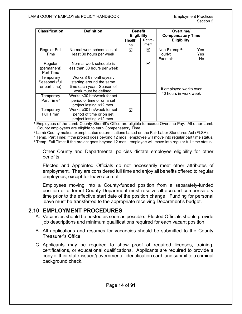| <b>Classification</b><br><b>Definition</b><br><b>Benefit</b> |                                  |                    |         | Overtime/                                       |
|--------------------------------------------------------------|----------------------------------|--------------------|---------|-------------------------------------------------|
|                                                              |                                  |                    |         |                                                 |
|                                                              |                                  | <b>Eligibility</b> |         | <b>Compensatory Time</b>                        |
|                                                              |                                  | Health             | Retire- | Eligibility <sup>1</sup>                        |
|                                                              |                                  | Ins.               | ment    |                                                 |
| <b>Regular Full</b>                                          | Normal work schedule is at       | ☑                  | ☑       | Non-Exempt <sup>2</sup> :<br>Yes                |
| Time                                                         | least 30 hours per week          |                    |         | Yes<br>Hourly:                                  |
|                                                              |                                  |                    |         | Exempt:<br>No.                                  |
| Regular                                                      | Normal work schedule is          |                    | ☑       |                                                 |
| (permanent)                                                  | less than 30 hours per week      |                    |         |                                                 |
| Part Time                                                    |                                  |                    |         |                                                 |
| Temporary                                                    | Works $\leq 6$ months/year,      |                    |         |                                                 |
| Seasonal (full                                               | starting around the same         |                    |         |                                                 |
| or part time)                                                | time each year. Season of        |                    |         |                                                 |
|                                                              | work must be defined.            |                    |         | If employee works over<br>40 hours in work week |
| Temporary                                                    | Works <30 hrs/week for set       |                    |         |                                                 |
| Part Time <sup>3</sup>                                       | period of time or on a set       |                    |         |                                                 |
|                                                              | project lasting <12 mos.         |                    |         |                                                 |
| Temporary                                                    | Works $\geq$ 30 hrs/week for set | ☑                  |         |                                                 |
| Full Time <sup>4</sup>                                       | period of time or on set         |                    |         |                                                 |
|                                                              | project lasting >12 mos.         |                    |         |                                                 |

<sup>1</sup> Employees of the Lamb County Sherriff's Office are eligible to accrue Overtime Pay. All other Lamb County employees are eligible to earn Compensatory Time.

² Lamb County makes exempt status determinations based on the Fair Labor Standards Act (FLSA).

<sup>3</sup> Temp. Part Time: If the project goes beyond 12 mos., employee will move into regular part time status.

⁴ Temp. Full Time: If the project goes beyond 12 mos., employee will move into regular full-time status.

Other County and Departmental policies dictate employee eligibility for other benefits.

Elected and Appointed Officials do not necessarily meet other attributes of employment. They are considered full time and enjoy all benefits offered to regular employees, except for leave accrual.

Employees moving into a County-funded position from a separately-funded position or different County Department must resolve all accrued compensatory time prior to the effective start date of the position change. Funding for personal leave must be transferred to the appropriate receiving Department's budget.

#### <span id="page-13-0"></span>**2.10 EMPLOYMENT PROCEDURES**

- A. Vacancies should be posted as soon as possible. Elected Officials should provide job descriptions and minimum qualifications required for each vacant position.
- B. All applications and resumes for vacancies should be submitted to the County Treasurer's Office.
- C. Applicants may be required to show proof of required licenses, training, certifications, or educational qualifications. Applicants are required to provide a copy of their state-issued/governmental identification card, and submit to a criminal background check.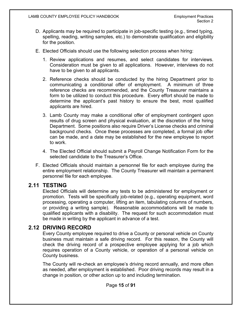- D. Applicants may be required to participate in job-specific testing (e.g., timed typing, spelling, reading, writing samples, etc.) to demonstrate qualification and eligibility for the position.
- E. Elected Officials should use the following selection process when hiring:
	- 1. Review applications and resumes, and select candidates for interviews. Consideration must be given to all applications. However, interviews do not have to be given to all applicants.
	- 2. Reference checks should be conducted by the hiring Department prior to communicating a conditional offer of employment. A minimum of three reference checks are recommended, and the County Treasurer maintains a form to be utilized to conduct this procedure. Every effort should be made to determine the applicant's past history to ensure the best, most qualified applicants are hired.
	- 3. Lamb County may make a conditional offer of employment contingent upon results of drug screen and physical evaluation, at the discretion of the hiring Department. Some positions also require Driver's License checks and criminal background checks. Once these processes are completed, a formal job offer can be made, and a date may be established for the new employee to report to work.
	- 4. The Elected Official should submit a Payroll Change Notification Form for the selected candidate to the Treasurer's Office.
- F. Elected Officials should maintain a personnel file for each employee during the entire employment relationship. The County Treasurer will maintain a permanent personnel file for each employee.

#### <span id="page-14-0"></span>**2.11 TESTING**

Elected Officials will determine any tests to be administered for employment or promotion. Tests will be specifically job-related (e.g., operating equipment, word processing, operating a computer, lifting an item, tabulating columns of numbers, or providing a writing sample). Reasonable accommodations will be made to qualified applicants with a disability. The request for such accommodation must be made in writing by the applicant in advance of a test.

#### <span id="page-14-1"></span>**2.12 DRIVING RECORD**

Every County employee required to drive a County or personal vehicle on County business must maintain a safe driving record. For this reason, the County will check the driving record of a prospective employee applying for a job which requires operation of a County vehicle, or operation of a personal vehicle on County business.

The County will re-check an employee's driving record annually, and more often as needed, after employment is established. Poor driving records may result in a change in position, or other action up to and including termination.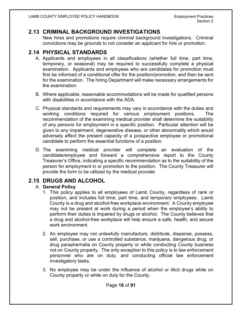#### <span id="page-15-0"></span>**2.13 CRIMINAL BACKGROUND INVESTIGATIONS**

New hires and promotions require criminal background investigations. Criminal convictions may be grounds to not consider an applicant for hire or promotion.

#### <span id="page-15-1"></span>**2.14 PHYSICAL STANDARDS**

- A. Applicants and employees in all classifications (whether full time, part time, temporary, or seasonal) may be required to successfully complete a physical examination. Applicants and employees who are candidates for promotion must first be informed of a conditional offer for the position/promotion, and then be sent for the examination. The hiring Department will make necessary arrangements for the examination.
- B. Where applicable, reasonable accommodations will be made for qualified persons with disabilities in accordance with the ADA.
- C. Physical standards and requirements may vary in accordance with the duties and working conditions required for various employment positions. The recommendation of the examining medical provider shall determine the suitability of any persons for employment in a specific position. Particular attention will be given to any impairment, degenerative disease, or other abnormality which would adversely affect the present capacity of a prospective employee or promotional candidate to perform the essential functions of a position.
- D. The examining medical provider will complete an evaluation of the candidate/employee and forward a comprehensive report to the County Treasurer's Office, indicating a specific recommendation as to the suitability of the person for employment in or promotion to the position. The County Treasurer will provide the form to be utilized by the medical provider

#### <span id="page-15-2"></span>**2.15 DRUGS AND ALCOHOL**

#### A. **General Policy**

- 1. This policy applies to all employees of Lamb County, regardless of rank or position, and includes full time, part time, and temporary employees. Lamb County is a drug and alcohol-free workplace environment. A County employee may not be present at work during a period when the employee's ability to perform their duties is impaired by drugs or alcohol. The County believes that a drug and alcohol-free workplace will help ensure a safe, health, and secure work environment.
- 2. An employee may not unlawfully manufacture, distribute, dispense, possess, sell, purchase, or use a controlled substance, marijuana, dangerous drug, or drug paraphernalia on County property or while conducting County business not on County property. The only exception to this policy is to law enforcement personnel who are on duty, and conducting official law enforcement investigatory tasks.
- 3. No employee may be under the influence of alcohol or illicit drugs while on County property or while on duty for the County.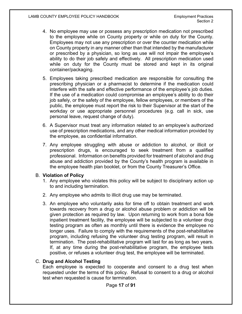- 4. No employee may use or possess any prescription medication not prescribed to the employee while on County property or while on duty for the County. Employees may not use any prescription or over the counter medication while on County property in any manner other than that intended by the manufacturer or prescribed by a physician, so long as use will not impair the employee's ability to do their job safely and effectively. All prescription medication used while on duty for the County must be stored and kept in its original container/packaging.
- 5. Employees taking prescribed medication are responsible for consulting the prescribing physician or a pharmacist to determine if the medication could interfere with the safe and effective performance of the employee's job duties. If the use of a medication could compromise an employee's ability to do their job safely, or the safety of the employee, fellow employees, or members of the public, the employee must report the risk to their Supervisor at the start of the workday or use appropriate personnel procedures (e.g. call in sick, use personal leave, request change of duty).
- 6. A Supervisor must treat any information related to an employee's authorized use of prescription medications, and any other medical information provided by the employee, as confidential information.
- 7. Any employee struggling with abuse or addiction to alcohol, or illicit or prescription drugs, is encouraged to seek treatment from a qualified professional. Information on benefits provided for treatment of alcohol and drug abuse and addiction provided by the County's health program is available in the employee health plan booklet, or from the County Treasurer's Office.

#### B. **Violation of Policy**

- 1. Any employee who violates this policy will be subject to disciplinary action up to and including termination.
- 2. Any employee who admits to illicit drug use may be terminated.
- 3. An employee who voluntarily asks for time off to obtain treatment and work towards recovery from a drug or alcohol abuse problem or addiction will be given protection as required by law. Upon returning to work from a bona fide inpatient treatment facility, the employee will be subjected to a volunteer drug testing program as often as monthly until there is evidence the employee no longer uses. Failure to comply with the requirements of the post-rehabilitative program, including refusing the volunteer drug testing program, will result in termination. The post-rehabilitative program will last for as long as two years. If, at any time during the post-rehabilitative program, the employee tests positive, or refuses a volunteer drug test, the employee will be terminated.

#### C. **Drug and Alcohol Testing**

Each employee is expected to cooperate and consent to a drug test when requested under the terms of this policy. Refusal to consent to a drug or alcohol test when requested is cause for termination.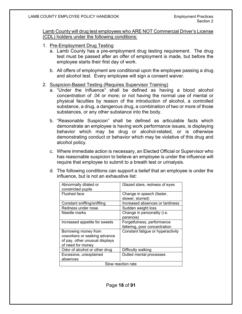Lamb County will drug test employees who ARE NOT Commercial Driver's License (CDL) holders under the following conditions:

- 1. Pre-Employment Drug Testing
	- a. Lamb County has a pre-employment drug testing requirement. The drug test must be passed after an offer of employment is made, but before the employee starts their first day of work.
	- b. All offers of employment are conditional upon the employee passing a drug and alcohol test. Every employee will sign a consent waiver.
- 2. Suspicion-Based Testing (Requires Supervisor Training)
	- a. "Under the Influence" shall be defined as having a blood alcohol concentration of .04 or more; or not having the normal use of mental or physical faculties by reason of the introduction of alcohol, a controlled substance, a drug, a dangerous drug, a combination of two or more of those substances, or any other substance into the body.
	- b. "Reasonable Suspicion" shall be defined as articulable facts which demonstrate an employee is having work performance issues, is displaying behavior which may be drug or alcohol-related, or is otherwise demonstrating conduct or behavior which may be violative of this drug and alcohol policy.
	- c. Where immediate action is necessary, an Elected Official or Supervisor who has reasonable suspicion to believe an employee is under the influence will require that employee to submit to a breath test or urinalysis.
	- d. The following conditions can support a belief that an employee is under the influence, but is not an exhaustive list:

| Abnormally dilated or<br>constricted pupils | Glazed stare, redness of eyes     |  |
|---------------------------------------------|-----------------------------------|--|
| <b>Flushed face</b>                         | Change in speech (faster,         |  |
|                                             | slower, slurred)                  |  |
| Constant sniffing/sniffling                 | Increased absences or tardiness   |  |
| Redness under nose                          | Sudden weight loss                |  |
| Needle marks                                | Change in personality (i.e.       |  |
|                                             | paranoia)                         |  |
| Increased appetite for sweets               | Forgetfulness, performance        |  |
|                                             | faltering, poor concentration     |  |
| Borrowing money from                        | Constant fatigue or hyperactivity |  |
| coworkers or seeking advance                |                                   |  |
| of pay, other unusual displays              |                                   |  |
| of need for money                           |                                   |  |
| Odor of alcohol or other drug               | Difficulty walking                |  |
| Excessive, unexplained                      | Dulled mental processes           |  |
| absences                                    |                                   |  |
| Slow reaction rate                          |                                   |  |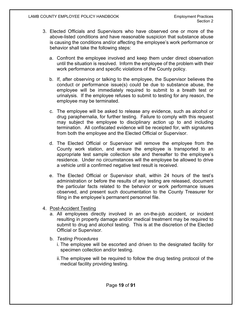- 3. Elected Officials and Supervisors who have observed one or more of the above-listed conditions and have reasonable suspicion that substance abuse is causing the conditions and/or affecting the employee's work performance or behavior shall take the following steps:
	- a. Confront the employee involved and keep them under direct observation until the situation is resolved. Inform the employee of the problem with their work performance and specific violations of the County policy.
	- b. If, after observing or talking to the employee, the Supervisor believes the conduct or performance issue(s) could be due to substance abuse, the employee will be immediately required to submit to a breath test or urinalysis. If the employee refuses to submit to testing for any reason, the employee may be terminated.
	- c. The employee will be asked to release any evidence, such as alcohol or drug paraphernalia, for further testing. Failure to comply with this request may subject the employee to disciplinary action up to and including termination. All confiscated evidence will be receipted for, with signatures from both the employee and the Elected Official or Supervisor.
	- d. The Elected Official or Supervisor will remove the employee from the County work station, and ensure the employee is transported to an appropriate test sample collection site and thereafter to the employee's residence. Under no circumstances will the employee be allowed to drive a vehicle until a confirmed negative test result is received.
	- e. The Elected Official or Supervisor shall, within 24 hours of the test's administration or before the results of any testing are released, document the particular facts related to the behavior or work performance issues observed, and present such documentation to the County Treasurer for filing in the employee's permanent personnel file.
- 4. Post-Accident Testing
	- a. All employees directly involved in an on-the-job accident, or incident resulting in property damage and/or medical treatment may be required to submit to drug and alcohol testing. This is at the discretion of the Elected Official or Supervisor.
	- b. *Testing Procedures*
		- i. The employee will be escorted and driven to the designated facility for specimen collection and/or testing.
		- ii.The employee will be required to follow the drug testing protocol of the medical facility providing testing.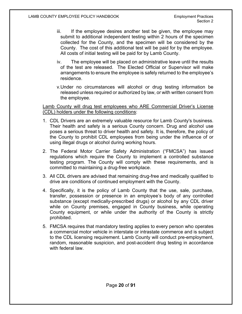- iii. If the employee desires another test be given, the employee may submit to additional independent testing within 2 hours of the specimen collected for the County, and the specimen will be considered by the County. The cost of this additional test will be paid for by the employee. All costs of initial testing will be paid for by Lamb County.
- iv. The employee will be placed on administrative leave until the results of the test are released. The Elected Official or Supervisor will make arrangements to ensure the employee is safely returned to the employee's residence.
- v.Under no circumstances will alcohol or drug testing information be released unless required or authorized by law, or with written consent from the employee.

Lamb County will drug test employees who ARE Commercial Driver's License (CDL) holders under the following conditions:

- 1. CDL Drivers are an extremely valuable resource for Lamb County's business. Their health and safety is a serious County concern. Drug and alcohol use poses a serious threat to driver health and safety. It is, therefore, the policy of the County to prohibit CDL employees from being under the influence of or using illegal drugs or alcohol during working hours.
- 2. The Federal Motor Carrier Safety Administration ("FMCSA") has issued regulations which require the County to implement a controlled substance testing program. The County will comply with these requirements, and is committed to maintaining a drug-free workplace.
- 3. All CDL drivers are advised that remaining drug-free and medically qualified to drive are conditions of continued employment with the County.
- 4. Specifically, it is the policy of Lamb County that the use, sale, purchase, transfer, possession or presence in an employee's body of any controlled substance (except medically-prescribed drugs) or alcohol by any CDL driver while on County premises, engaged in County business, while operating County equipment, or while under the authority of the County is strictly prohibited.
- 5. FMCSA requires that mandatory testing applies to every person who operates a commercial motor vehicle in interstate or intrastate commerce and is subject to the CDL licensing requirement. Lamb County will conduct pre-employment, random, reasonable suspicion, and post-accident drug testing in accordance with federal law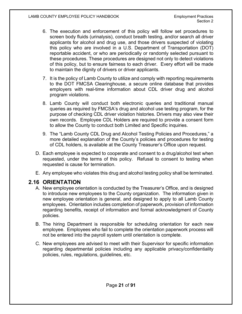- 6. The execution and enforcement of this policy will follow set procedures to screen body fluids (urinalysis), conduct breath testing, and/or search all driver applicants for alcohol and drug use, and those drivers suspected of violating this policy who are involved in a U.S. Department of Transportation (DOT) reportable accident, or who are periodically or randomly selected pursuant to these procedures. These procedures are designed not only to detect violations of this policy, but to ensure fairness to each driver. Every effort will be made to maintain the dignity of drivers or driver applicants.
- 7. It is the policy of Lamb County to utilize and comply with reporting requirements to the DOT FMCSA Clearinghouse, a secure online database that provides employers with real-time information about CDL driver drug and alcohol program violations.
- 8. Lamb County will conduct both electronic queries and traditional manual queries as required by FMCSA's drug and alcohol use testing program, for the purpose of checking CDL driver violation histories. Drivers may also view their own records. Employee CDL Holders are required to provide a consent form to allow the County to conduct both Limited and Specific inquiries.
- 9. The "Lamb County CDL Drug and Alcohol Testing Policies and Procedures," a more detailed explanation of the County's policies and procedures for testing of CDL holders, is available at the County Treasurer's Office upon request.
- D. Each employee is expected to cooperate and consent to a drug/alcohol test when requested, under the terms of this policy. Refusal to consent to testing when requested is cause for termination.
- E. Any employee who violates this drug and alcohol testing policy shall be terminated.

#### <span id="page-20-0"></span>**2.16 ORIENTATION**

- A. New employee orientation is conducted by the Treasurer's Office, and is designed to introduce new employees to the County organization. The information given in new employee orientation is general, and designed to apply to all Lamb County employees. Orientation includes completion of paperwork, provision of information regarding benefits, receipt of information and formal acknowledgment of County policies.
- B. The hiring Department is responsible for scheduling orientation for each new employee. Employees who fail to complete the orientation paperwork process will not be entered into the payroll system until orientation is complete.
- C. New employees are advised to meet with their Supervisor for specific information regarding departmental policies including any applicable privacy/confidentiality policies, rules, regulations, guidelines, etc.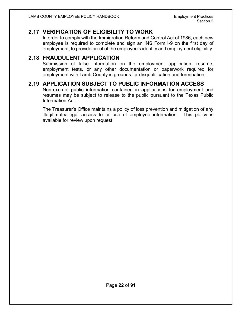#### <span id="page-21-0"></span>**2.17 VERIFICATION OF ELIGIBILITY TO WORK**

In order to comply with the Immigration Reform and Control Act of 1986, each new employee is required to complete and sign an INS Form I-9 on the first day of employment, to provide proof of the employee's identity and employment eligibility.

#### <span id="page-21-1"></span>**2.18 FRAUDULENT APPLICATION**

Submission of false information on the employment application, resume, employment tests, or any other documentation or paperwork required for employment with Lamb County is grounds for disqualification and termination.

#### <span id="page-21-2"></span>**2.19 APPLICATION SUBJECT TO PUBLIC INFORMATION ACCESS**

Non-exempt public information contained in applications for employment and resumes may be subject to release to the public pursuant to the Texas Public Information Act.

The Treasurer's Office maintains a policy of loss prevention and mitigation of any illegitimate/illegal access to or use of employee information. This policy is available for review upon request.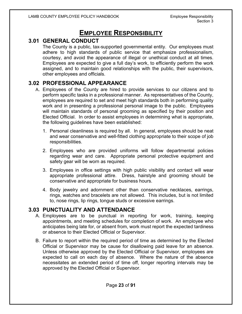## **EMPLOYEE RESPONSIBILITY**

#### <span id="page-22-1"></span><span id="page-22-0"></span>**3.01 GENERAL CONDUCT**

The County is a public, tax-supported governmental entity. Our employees must adhere to high standards of public service that emphasize professionalism, courtesy, and avoid the appearance of illegal or unethical conduct at all times. Employees are expected to give a full day's work, to efficiently perform the work assigned, and to maintain good relationships with the public, their supervisors, other employees and officials.

#### <span id="page-22-2"></span>**3.02 PROFESSIONAL APPEARANCE**

- A. Employees of the County are hired to provide services to our citizens and to perform specific tasks in a professional manner. As representatives of the County, employees are required to set and meet high standards both in performing quality work and in presenting a professional personal image to the public. Employees will maintain standards of personal grooming as specified by their position and Elected Official. In order to assist employees in determining what is appropriate, the following guidelines have been established:
	- 1. Personal cleanliness is required by all. In general, employees should be neat and wear conservative and well-fitted clothing appropriate to their scope of job responsibilities.
	- 2. Employees who are provided uniforms will follow departmental policies regarding wear and care. Appropriate personal protective equipment and safety gear will be worn as required.
	- 3. Employees in office settings with high public visibility and contact will wear appropriate professional attire. Dress, hairstyle and grooming should be conservative and appropriate for business hours.
	- 4. Body jewelry and adornment other than conservative necklaces, earrings, rings, watches and bracelets are not allowed. This includes, but is not limited to, nose rings, lip rings, tongue studs or excessive earrings.

#### <span id="page-22-3"></span>**3.03 PUNCTUALITY AND ATTENDANCE**

- A. Employees are to be punctual in reporting for work, training, keeping appointments, and meeting schedules for completion of work. An employee who anticipates being late for, or absent from, work must report the expected tardiness or absence to their Elected Official or Supervisor.
- B. Failure to report within the required period of time as determined by the Elected Official or Supervisor may be cause for disallowing paid leave for an absence. Unless otherwise approved by the Elected Official or Supervisor, employees are expected to call on each day of absence. Where the nature of the absence necessitates an extended period of time off, longer reporting intervals may be approved by the Elected Official or Supervisor.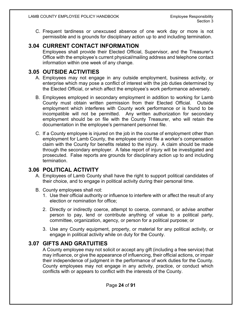C. Frequent tardiness or unexcused absence of one work day or more is not permissible and is grounds for disciplinary action up to and including termination.

#### <span id="page-23-0"></span>**3.04 CURRENT CONTACT INFORMATION**

Employees shall provide their Elected Official, Supervisor, and the Treasurer's Office with the employee's current physical/mailing address and telephone contact information within one week of any change.

#### <span id="page-23-1"></span>**3.05 OUTSIDE ACTIVITIES**

- A. Employees may not engage in any outside employment, business activity, or enterprise which may pose a conflict of interest with the job duties determined by the Elected Official, or which affect the employee's work performance adversely.
- B. Employees employed in secondary employment in addition to working for Lamb County must obtain written permission from their Elected Official. Outside employment which interferes with County work performance or is found to be incompatible will not be permitted. Any written authorization for secondary employment should be on file with the County Treasurer, who will retain the documentation in the employee's permanent personnel file.
- C. If a County employee is injured on the job in the course of employment other than employment for Lamb County, the employee cannot file a worker's compensation claim with the County for benefits related to the injury. A claim should be made through the secondary employer. A false report of injury will be investigated and prosecuted. False reports are grounds for disciplinary action up to and including termination.

#### <span id="page-23-2"></span>**3.06 POLITICAL ACTIVITY**

- A. Employees of Lamb County shall have the right to support political candidates of their choice, and to engage in political activity during their personal time.
- B. County employees shall not:
	- 1. Use their official authority or influence to interfere with or affect the result of any election or nomination for office;
	- 2. Directly or indirectly coerce, attempt to coerce, command, or advise another person to pay, lend or contribute anything of value to a political party, committee, organization, agency, or person for a political purpose; or
	- 3. Use any County equipment, property, or material for any political activity, or engage in political activity while on duty for the County.

#### <span id="page-23-3"></span>**3.07 GIFTS AND GRATUITIES**

A County employee may not solicit or accept any gift (including a free service) that may influence, or give the appearance of influencing, their official actions, or impair their independence of judgment in the performance of work duties for the County. County employees may not engage in any activity, practice, or conduct which conflicts with or appears to conflict with the interests of the County.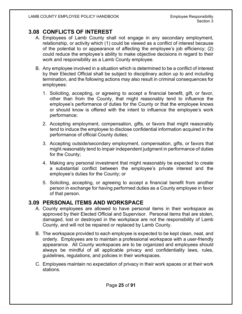#### <span id="page-24-0"></span>**3.08 CONFLICTS OF INTEREST**

- A. Employees of Lamb County shall not engage in any secondary employment, relationship, or activity which (1) could be viewed as a conflict of interest because of the potential to or appearance of affecting the employee's job efficiency; (2) could reduce the employee's ability to make objective decisions in regard to their work and responsibility as a Lamb County employee.
- B. Any employee involved in a situation which is determined to be a conflict of interest by their Elected Official shall be subject to disciplinary action up to and including termination, and the following actions may also result in criminal consequences for employees:
	- 1. Soliciting, accepting, or agreeing to accept a financial benefit, gift, or favor, other than from the County, that might reasonably tend to influence the employee's performance of duties for the County or that the employee knows or should know is offered with the intent to influence the employee's work performance;
	- 2. Accepting employment, compensation, gifts, or favors that might reasonably tend to induce the employee to disclose confidential information acquired in the performance of official County duties;
	- 3. Accepting outside/secondary employment, compensation, gifts, or favors that might reasonably tend to impair independent judgment in performance of duties for the County;
	- 4. Making any personal investment that might reasonably be expected to create a substantial conflict between the employee's private interest and the employee's duties for the County; or
	- 5. Soliciting, accepting, or agreeing to accept a financial benefit from another person in exchange for having performed duties as a County employee in favor of that person.

#### <span id="page-24-1"></span>**3.09 PERSONAL ITEMS AND WORKSPACE**

- A. County employees are allowed to have personal items in their workspace as approved by their Elected Official and Supervisor. Personal items that are stolen, damaged, lost or destroyed in the workplace are not the responsibility of Lamb County, and will not be repaired or replaced by Lamb County.
- B. The workspace provided to each employee is expected to be kept clean, neat, and orderly. Employees are to maintain a professional workspace with a user-friendly appearance. All County workspaces are to be organized and employees should always be mindful of all applicable privacy and confidentiality laws, rules, guidelines, regulations, and policies in their workspaces.
- C. Employees maintain no expectation of privacy in their work spaces or at their work stations.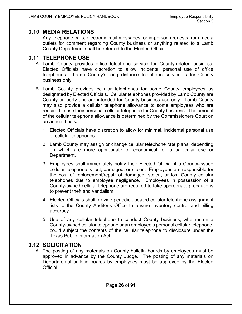#### <span id="page-25-0"></span>**3.10 MEDIA RELATIONS**

Any telephone calls, electronic mail messages, or in-person requests from media outlets for comment regarding County business or anything related to a Lamb County Department shall be referred to the Elected Official.

#### <span id="page-25-1"></span>**3.11 TELEPHONE USE**

- A. Lamb County provides office telephone service for County-related business. Elected Officials have discretion to allow incidental personal use of office telephones. Lamb County's long distance telephone service is for County business only.
- B. Lamb County provides cellular telephones for some County employees as designated by Elected Officials. Cellular telephones provided by Lamb County are County property and are intended for County business use only. Lamb County may also provide a cellular telephone allowance to some employees who are required to use their personal cellular telephone for County business. The amount of the cellular telephone allowance is determined by the Commissioners Court on an annual basis.
	- 1. Elected Officials have discretion to allow for minimal, incidental personal use of cellular telephones.
	- 2. Lamb County may assign or change cellular telephone rate plans, depending on which are more appropriate or economical for a particular use or Department.
	- 3. Employees shall immediately notify their Elected Official if a County-issued cellular telephone is lost, damaged, or stolen. Employees are responsible for the cost of replacement/repair of damaged, stolen, or lost County cellular telephones due to employee negligence. Employees in possession of a County-owned cellular telephone are required to take appropriate precautions to prevent theft and vandalism.
	- 4. Elected Officials shall provide periodic updated cellular telephone assignment lists to the County Auditor's Office to ensure inventory control and billing accuracy.
	- 5. Use of any cellular telephone to conduct County business, whether on a County-owned cellular telephone or an employee's personal cellular telephone, could subject the contents of the cellular telephone to disclosure under the Texas Public Information Act.

#### <span id="page-25-2"></span>**3.12 SOLICITATION**

A. The posting of any materials on County bulletin boards by employees must be approved in advance by the County Judge. The posting of any materials on Departmental bulletin boards by employees must be approved by the Elected Official.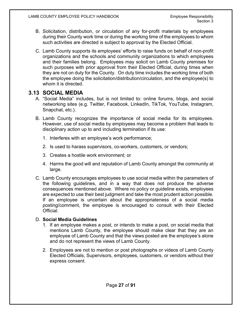- B. Solicitation, distribution, or circulation of any for-profit materials by employees during their County work time or during the working time of the employees to whom such activities are directed is subject to approval by the Elected Official.
- C. Lamb County supports its employees' efforts to raise funds on behalf of non-profit organizations and the schools and community organizations to which employees and their families belong. Employees may solicit on Lamb County premises for such purposes with prior approval from their Elected Official, during times when they are not on duty for the County. On duty time includes the working time of both the employee doing the solicitation/distribution/circulation, and the employee(s) to whom it is directed.

#### <span id="page-26-0"></span>**3.13 SOCIAL MEDIA**

- A. "Social Media" includes, but is not limited to: online forums, blogs, and social networking sites (e.g. Twitter, Facebook, LinkedIn, TikTok, YouTube, Instagram, Snapchat, etc.).
- B. Lamb County recognizes the importance of social media for its employees. However, use of social media by employees may become a problem that leads to disciplinary action up to and including termination if its use:
	- 1. Interferes with an employee's work performance;
	- 2. Is used to harass supervisors, co-workers, customers, or vendors;
	- 3. Creates a hostile work environment; or
	- 4. Harms the good will and reputation of Lamb County amongst the community at large.
- C. Lamb County encourages employees to use social media within the parameters of the following guidelines, and in a way that does not produce the adverse consequences mentioned above. Where no policy or guideline exists, employees are expected to use their best judgment and take the most prudent action possible. If an employee is uncertain about the appropriateness of a social media posting/comment, the employee is encouraged to consult with their Elected Official.

#### D. **Social Media Guidelines**

- 1. If an employee makes a post, or intends to make a post, on social media that mentions Lamb County, the employee should make clear that they are an employee of Lamb County and that the views posted are the employee's alone and do not represent the views of Lamb County.
- 2. Employees are not to mention or post photographs or videos of Lamb County Elected Officials, Supervisors, employees, customers, or vendors without their express consent.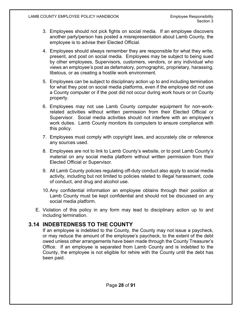- 3. Employees should not pick fights on social media. If an employee discovers another party/person has posted a misrepresentation about Lamb County, the employee is to advise their Elected Official.
- 4. Employees should always remember they are responsible for what they write, present, and post on social media. Employees may be subject to being sued by other employees, Supervisors, customers, vendors, or any individual who views an employee's post as defamatory, pornographic, proprietary, harassing, libelous, or as creating a hostile work environment.
- 5. Employees can be subject to disciplinary action up to and including termination for what they post on social media platforms, even if the employee did not use a County computer or if the post did not occur during work hours or on County property.
- 6. Employees may not use Lamb County computer equipment for non-workrelated activities without written permission from their Elected Official or Supervisor. Social media activities should not interfere with an employee's work duties. Lamb County monitors its computers to ensure compliance with this policy.
- 7. Employees must comply with copyright laws, and accurately cite or reference any sources used.
- 8. Employees are not to link to Lamb County's website, or to post Lamb County's material on any social media platform without written permission from their Elected Official or Supervisor.
- 9. All Lamb County policies regulating off-duty conduct also apply to social media activity, including but not limited to policies related to illegal harassment, code of conduct, and drug and alcohol use.
- 10.Any confidential information an employee obtains through their position at Lamb County must be kept confidential and should not be discussed on any social media platform.
- E. Violation of this policy in any form may lead to disciplinary action up to and including termination.

#### <span id="page-27-0"></span>**3.14 INDEBTEDNESS TO THE COUNTY**

If an employee is indebted to the County, the County may not issue a paycheck, or may reduce the amount of the employee's paycheck, to the extent of the debt owed unless other arrangements have been made through the County Treasurer's Office. If an employee is separated from Lamb County and is indebted to the County, the employee is not eligible for rehire with the County until the debt has been paid.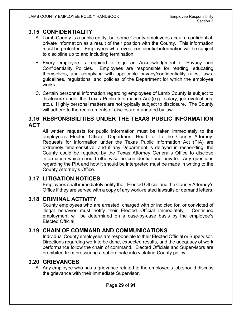#### <span id="page-28-0"></span>**3.15 CONFIDENTIALITY**

- A. Lamb County is a public entity, but some County employees acquire confidential, private information as a result of their position with the County. This information must be protected. Employees who reveal confidential information will be subject to discipline up to and including termination.
- B. Every employee is required to sign an Acknowledgment of Privacy and Confidentiality Policies. Employees are responsible for reading, educating themselves, and complying with applicable privacy/confidentiality rules, laws, guidelines, regulations, and policies of the Department for which the employee works.
- C. Certain personnel information regarding employees of Lamb County is subject to disclosure under the Texas Public Information Act (e.g., salary, job evaluations, etc.). Highly personal matters are not typically subject to disclosure. The County will adhere to the requirements of disclosure mandated by law.

#### <span id="page-28-1"></span>**3.16 RESPONSIBILITIES UNDER THE TEXAS PUBLIC INFORMATION ACT**

All written requests for public information must be taken immediately to the employee's Elected Official, Department Head, or to the County Attorney. Requests for information under the Texas Public Information Act (PIA) are extremely time-sensitive, and if any Department is delayed in responding, the County could be required by the Texas Attorney General's Office to disclose information which should otherwise be confidential and private. Any questions regarding the PIA and how it should be interpreted must be made in writing to the County Attorney's Office.

#### <span id="page-28-2"></span>**3.17 LITIGATION NOTICES**

Employees shall immediately notify their Elected Official and the County Attorney's Office if they are served with a copy of any work-related lawsuits or demand letters.

#### <span id="page-28-3"></span>**3.18 CRIMINAL ACTIVITY**

County employees who are arrested, charged with or indicted for, or convicted of illegal behavior must notify their Elected Official immediately. Continued employment will be determined on a case-by-case basis by the employee's Elected Official.

#### <span id="page-28-4"></span>**3.19 CHAIN OF COMMAND AND COMMUNICATIONS**

Individual County employees are responsible to their Elected Official or Supervisor. Directions regarding work to be done, expected results, and the adequacy of work performance follow the chain of command. Elected Officials and Supervisors are prohibited from pressuring a subordinate into violating County policy.

#### <span id="page-28-5"></span>**3.20 GRIEVANCES**

A. Any employee who has a grievance related to the employee's job should discuss the grievance with their immediate Supervisor.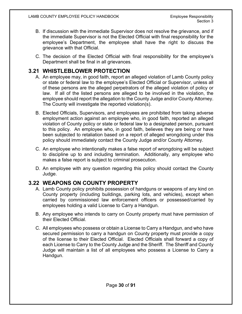- B. If discussion with the immediate Supervisor does not resolve the grievance, and if the immediate Supervisor is not the Elected Official with final responsibility for the employee's Department, the employee shall have the right to discuss the grievance with that Official.
- C. The decision of the Elected Official with final responsibility for the employee's Department shall be final in all grievances.

#### <span id="page-29-0"></span>**3.21 WHISTLEBLOWER PROTECTION**

- A. An employee may, in good faith, report an alleged violation of Lamb County policy or state or federal law to the employee's Elected Official or Supervisor, unless all of these persons are the alleged perpetrators of the alleged violation of policy or law. If all of the listed persons are alleged to be involved in the violation, the employee should report the allegation to the County Judge and/or County Attorney. The County will investigate the reported violation(s).
- B. Elected Officials, Supervisors, and employees are prohibited from taking adverse employment action against an employee who, in good faith, reported an alleged violation of County policy or state or federal law to a designated person, pursuant to this policy. An employee who, in good faith, believes they are being or have been subjected to retaliation based on a report of alleged wrongdoing under this policy should immediately contact the County Judge and/or County Attorney.
- C. An employee who intentionally makes a false report of wrongdoing will be subject to discipline up to and including termination. Additionally, any employee who makes a false report is subject to criminal prosecution.
- D. An employee with any question regarding this policy should contact the County Judge.

#### <span id="page-29-1"></span>**3.22 WEAPONS ON COUNTY PROPERTY**

- A. Lamb County policy prohibits possession of handguns or weapons of any kind on County property (including buildings, parking lots, and vehicles), except when carried by commissioned law enforcement officers or possessed/carried by employees holding a valid License to Carry a Handgun.
- B. Any employee who intends to carry on County property must have permission of their Elected Official.
- C. All employees who possess or obtain a License to Carry a Handgun, and who have secured permission to carry a handgun on County property must provide a copy of the license to their Elected Official. Elected Officials shall forward a copy of each License to Carry to the County Judge and the Sheriff. The Sheriff and County Judge will maintain a list of all employees who possess a License to Carry a Handgun.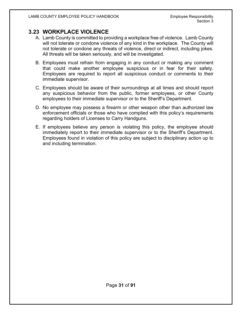#### <span id="page-30-0"></span>**3.23 WORKPLACE VIOLENCE**

- A. Lamb County is committed to providing a workplace free of violence. Lamb County will not tolerate or condone violence of any kind in the workplace. The County will not tolerate or condone any threats of violence, direct or indirect, including jokes. All threats will be taken seriously, and will be investigated.
- B. Employees must refrain from engaging in any conduct or making any comment that could make another employee suspicious or in fear for their safety. Employees are required to report all suspicious conduct or comments to their immediate supervisor.
- C. Employees should be aware of their surroundings at all times and should report any suspicious behavior from the public, former employees, or other County employees to their immediate supervisor or to the Sheriff's Department.
- D. No employee may possess a firearm or other weapon other than authorized law enforcement officials or those who have complied with this policy's requirements regarding holders of Licenses to Carry Handguns.
- E. If employees believe any person is violating this policy, the employee should immediately report to their immediate supervisor or to the Sheriff's Department. Employees found in violation of this policy are subject to disciplinary action up to and including termination.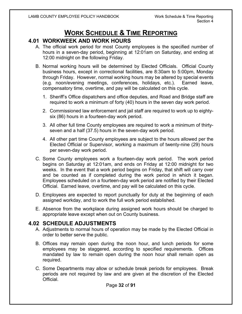## **WORK SCHEDULE & TIME REPORTING**

#### <span id="page-31-1"></span><span id="page-31-0"></span>**4.01 WORKWEEK AND WORK HOURS**

- A. The official work period for most County employees is the specified number of hours in a seven-day period, beginning at 12:01am on Saturday, and ending at 12:00 midnight on the following Friday.
- B. Normal working hours will be determined by Elected Officials. Official County business hours, except in correctional facilities, are 8:30am to 5:00pm, Monday through Friday. However, normal working hours may be altered by special events (e.g. noon/evening meetings, conferences, holidays, etc.). Earned leave, compensatory time, overtime, and pay will be calculated on this cycle.
	- 1. Sheriff's Office dispatchers and office deputies, and Road and Bridge staff are required to work a minimum of forty (40) hours in the seven day work period.
	- 2. Commissioned law enforcement and jail staff are required to work up to eightysix (86) hours in a fourteen-day work period.
	- 3. All other full time County employees are required to work a minimum of thirtyseven and a half (37.5) hours in the seven-day work period.
	- 4. All other part time County employees are subject to the hours allowed per the Elected Official or Supervisor, working a maximum of twenty-nine (29) hours per seven-day work period.
- C. Some County employees work a fourteen-day work period. The work period begins on Saturday at 12:01am, and ends on Friday at 12:00 midnight for two weeks. In the event that a work period begins on Friday, that shift will carry over and be counted as if completed during the work period in which it began. Employees scheduled on a fourteen-day work period are notified by their Elected Official. Earned leave, overtime, and pay will be calculated on this cycle.
- D. Employees are expected to report punctually for duty at the beginning of each assigned workday, and to work the full work period established.
- E. Absence from the workplace during assigned work hours should be charged to appropriate leave except when out on County business.

#### <span id="page-31-2"></span>**4.02 SCHEDULE ADJUSTMENTS**

- A. Adjustments to normal hours of operation may be made by the Elected Official in order to better serve the public.
- B. Offices may remain open during the noon hour, and lunch periods for some employees may be staggered, according to specified requirements. Offices mandated by law to remain open during the noon hour shall remain open as required.
- C. Some Departments may allow or schedule break periods for employees. Break periods are not required by law and are given at the discretion of the Elected Official.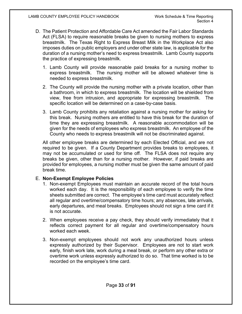- D. The Patient Protection and Affordable Care Act amended the Fair Labor Standards Act (FLSA) to require reasonable breaks be given to nursing mothers to express breastmilk. The Texas Right to Express Breast Milk in the Workplace Act also imposes duties on public employers and under other state law, is applicable for the duration of a nursing mother's need to express breastmilk. Lamb County supports the practice of expressing breastmilk.
	- 1. Lamb County will provide reasonable paid breaks for a nursing mother to express breastmilk. The nursing mother will be allowed whatever time is needed to express breastmilk.
	- 2. The County will provide the nursing mother with a private location, other than a bathroom, in which to express breastmilk. The location will be shielded from view, free from intrusion, and appropriate for expressing breastmilk. The specific location will be determined on a case-by-case basis.
	- 3. Lamb County prohibits any retaliation against a nursing mother for asking for this break. Nursing mothers are entitled to have this break for the duration of time they are expressing breastmilk. A reasonable accommodation will be given for the needs of employees who express breastmilk. An employee of the County who needs to express breastmilk will not be discriminated against.

All other employee breaks are determined by each Elected Official, and are not required to be given. If a County Department provides breaks to employees, it may not be accumulated or used for time off. The FLSA does not require any breaks be given, other than for a nursing mother. However, if paid breaks are provided for employees, a nursing mother must be given the same amount of paid break time.

#### E. **Non-Exempt Employee Policies**

- 1. Non-exempt Employees must maintain an accurate record of the total hours worked each day. It is the responsibility of each employee to verify the time sheets submitted are correct. The employee's time card must accurately reflect all regular and overtime/compensatory time hours; any absences, late arrivals, early departures, and meal breaks. Employees should not sign a time card if it is not accurate.
- 2. When employees receive a pay check, they should verify immediately that it reflects correct payment for all regular and overtime/compensatory hours worked each week.
- 3. Non-exempt employees should not work any unauthorized hours unless expressly authorized by their Supervisor. Employees are not to start work early, finish work late, work during a meal break, or perform any other extra or overtime work unless expressly authorized to do so. That time worked is to be recorded on the employee's time card.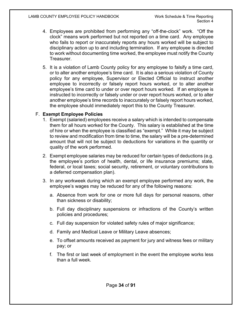- 4. Employees are prohibited from performing any "off-the-clock" work. "Off the clock" means work performed but not reported on a time card. Any employee who fails to report or inaccurately reports any hours worked will be subject to disciplinary action up to and including termination. If any employee is directed to work without documenting time worked, the employee must notify the County Treasurer.
- 5. It is a violation of Lamb County policy for any employee to falsify a time card, or to alter another employee's time card. It is also a serious violation of County policy for any employee, Supervisor or Elected Official to instruct another employee to incorrectly or falsely report hours worked, or to alter another employee's time card to under or over report hours worked. If an employee is instructed to incorrectly or falsely under or over report hours worked, or to alter another employee's time records to inaccurately or falsely report hours worked, the employee should immediately report this to the County Treasurer.

#### F. **Exempt Employee Policies**

- 1. Exempt (salaried) employees receive a salary which is intended to compensate them for all hours worked for the County. This salary is established at the time of hire or when the employee is classified as "exempt." While it may be subject to review and modification from time to time, the salary will be a pre-determined amount that will not be subject to deductions for variations in the quantity or quality of the work performed.
- 2. Exempt employee salaries may be reduced for certain types of deductions (e.g. the employee's portion of health, dental, or life insurance premiums; state, federal, or local taxes; social security, retirement, or voluntary contributions to a deferred compensation plan).
- 3. In any workweek during which an exempt employee performed any work, the employee's wages may be reduced for any of the following reasons:
	- a. Absence from work for one or more full days for personal reasons, other than sickness or disability;
	- b. Full day disciplinary suspensions or infractions of the County's written policies and procedures;
	- c. Full day suspension for violated safety rules of major significance;
	- d. Family and Medical Leave or Military Leave absences;
	- e. To offset amounts received as payment for jury and witness fees or military pay; or
	- f. The first or last week of employment in the event the employee works less than a full week.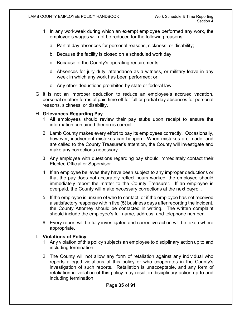- 4. In any workweek during which an exempt employee performed any work, the employee's wages will not be reduced for the following reasons:
	- a. Partial day absences for personal reasons, sickness, or disability;
	- b. Because the facility is closed on a scheduled work day;
	- c. Because of the County's operating requirements;
	- d. Absences for jury duty, attendance as a witness, or military leave in any week in which any work has been performed; or
	- e. Any other deductions prohibited by state or federal law.
- G. It is not an improper deduction to reduce an employee's accrued vacation, personal or other forms of paid time off for full or partial day absences for personal reasons, sickness, or disability.

#### H. **Grievances Regarding Pay**

- 1. All employees should review their pay stubs upon receipt to ensure the information contained therein is correct.
- 2. Lamb County makes every effort to pay its employees correctly. Occasionally, however, inadvertent mistakes can happen. When mistakes are made, and are called to the County Treasurer's attention, the County will investigate and make any corrections necessary.
- 3. Any employee with questions regarding pay should immediately contact their Elected Official or Supervisor.
- 4. If an employee believes they have been subject to any improper deductions or that the pay does not accurately reflect hours worked, the employee should immediately report the matter to the County Treasurer. If an employee is overpaid, the County will make necessary corrections at the next payroll.
- 5. If the employee is unsure of who to contact, or if the employee has not received a satisfactory response within five (5) business days after reporting the incident, the County Attorney should be contacted in writing. The written complaint should include the employee's full name, address, and telephone number.
- 6. Every report will be fully investigated and corrective action will be taken where appropriate.

#### I. **Violations of Policy**

- 1. Any violation of this policy subjects an employee to disciplinary action up to and including termination.
- 2. The County will not allow any form of retaliation against any individual who reports alleged violations of this policy or who cooperates in the County's investigation of such reports. Retaliation is unacceptable, and any form of retaliation in violation of this policy may result in disciplinary action up to and including termination.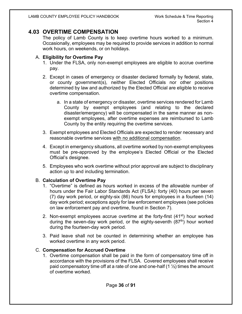#### <span id="page-35-0"></span>**4.03 OVERTIME COMPENSATION**

The policy of Lamb County is to keep overtime hours worked to a minimum. Occasionally, employees may be required to provide services in addition to normal work hours, on weekends, or on holidays.

#### A. **Eligibility for Overtime Pay**

- 1. Under the FLSA, only non-exempt employees are eligible to accrue overtime pay.
- 2. Except in cases of emergency or disaster declared formally by federal, state, or county government(s), neither Elected Officials nor other positions determined by law and authorized by the Elected Official are eligible to receive overtime compensation.
	- a. In a state of emergency or disaster, overtime services rendered for Lamb County by exempt employees (and relating to the declared disaster/emergency) will be compensated in the same manner as nonexempt employees, after overtime expenses are reimbursed to Lamb County by the entity requiring the overtime services.
- 3. Exempt employees and Elected Officials are expected to render necessary and reasonable overtime services with no additional compensation.
- 4. Except in emergency situations, all overtime worked by non-exempt employees must be pre-approved by the employee's Elected Official or the Elected Official's designee.
- 5. Employees who work overtime without prior approval are subject to disciplinary action up to and including termination.

#### B. **Calculation of Overtime Pay**

- 1. "Overtime" is defined as hours worked in excess of the allowable number of hours under the Fair Labor Standards Act (FLSA): forty (40) hours per seven (7) day work period, or eighty-six (86) hours for employees in a fourteen (14) day work period; exceptions apply for law enforcement employees (see policies on law enforcement pay and overtime, found in Section 7).
- 2. Non-exempt employees accrue overtime at the forty-first  $(41^{st})$  hour worked during the seven-day work period, or the eighty-seventh (87<sup>th</sup>) hour worked during the fourteen-day work period.
- 3. Paid leave shall not be counted in determining whether an employee has worked overtime in any work period.

#### C. **Compensation for Accrued Overtime**

1. Overtime compensation shall be paid in the form of compensatory time off in accordance with the provisions of the FLSA. Covered employees shall receive paid compensatory time off at a rate of one and one-half  $(1 \frac{1}{2})$  times the amount of overtime worked.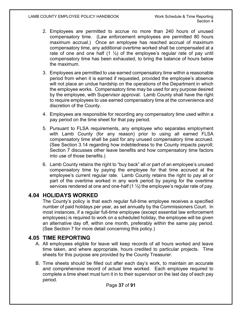- 2. Employees are permitted to accrue no more than 240 hours of unused compensatory time. (Law enforcement employees are permitted 80 hours maximum accrual.) Once an employee has reached accrual of maximum compensatory time, any additional overtime worked shall be compensated at a rate of one and one half  $(1 \frac{1}{2})$  of the employee's regular rate of pay until compensatory time has been exhausted, to bring the balance of hours below the maximum.
- 3. Employees are permitted to use earned compensatory time within a reasonable period from when it is earned if requested, provided the employee's absence will not place an undue hardship on the operations of the Department in which the employee works. Compensatory time may be used for any purpose desired by the employee, with Supervisor approval. Lamb County shall have the right to require employees to use earned compensatory time at the convenience and discretion of the County.
- 4. Employees are responsible for recording any compensatory time used within a pay period on the time sheet for that pay period.
- 5. Pursuant to FLSA requirements, any employee who separates employment with Lamb County (for any reason) prior to using all earned FLSA compensatory time shall be paid for any unused compensatory time accrued. (See Section 3.14 regarding how indebtedness to the County impacts payroll; Section 7 discusses other leave benefits and how compensatory time factors into use of those benefits.)
- 6. Lamb County retains the right to "buy back" all or part of an employee's unused compensatory time by paying the employee for that time accrued at the employee's current regular rate. Lamb County retains the right to pay all or part of the overtime worked in any work period by paying for the overtime services rendered at one and one-half (1 ½) the employee's regular rate of pay.

## **4.04 HOLIDAYS WORKED**

The County's policy is that each regular full-time employee receives a specified number of paid holidays per year, as set annually by the Commissioners Court. In most instances, if a regular full-time employee (except essential law enforcement employees) is required to work on a scheduled holiday, the employee will be given an alternative day off, within one month, preferably within the same pay period. (See Section 7 for more detail concerning this policy.)

## **4.05 TIME REPORTING**

- A. All employees eligible for leave will keep records of all hours worked and leave time taken, and where appropriate, hours credited to particular projects. Time sheets for this purpose are provided by the County Treasurer.
- B. Time sheets should be filled out after each day's work, to maintain an accurate and comprehensive record of actual time worked. Each employee required to complete a time sheet must turn it in to their supervisor on the last day of each pay period.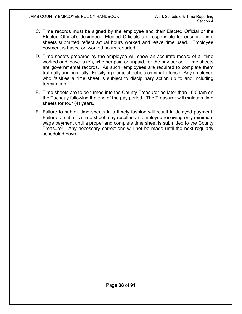- C. Time records must be signed by the employee and their Elected Official or the Elected Official's designee. Elected Officials are responsible for ensuring time sheets submitted reflect actual hours worked and leave time used. Employee payment is based on worked hours reported.
- D. Time sheets prepared by the employee will show an accurate record of all time worked and leave taken, whether paid or unpaid, for the pay period. Time sheets are governmental records. As such, employees are required to complete them truthfully and correctly. Falsifying a time sheet is a criminal offense. Any employee who falsifies a time sheet is subject to disciplinary action up to and including termination.
- E. Time sheets are to be turned into the County Treasurer no later than 10:00am on the Tuesday following the end of the pay period. The Treasurer will maintain time sheets for four (4) years.
- F. Failure to submit time sheets in a timely fashion will result in delayed payment. Failure to submit a time sheet may result in an employee receiving only minimum wage payment until a proper and complete time sheet is submitted to the County Treasurer. Any necessary corrections will not be made until the next regularly scheduled payroll.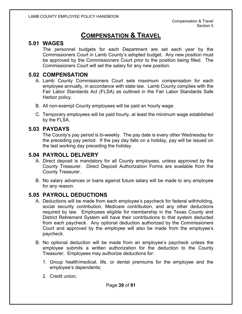# **COMPENSATION & TRAVEL**

# **5.01 WAGES**

The personnel budgets for each Department are set each year by the Commissioners Court in Lamb County's adopted budget. Any new position must be approved by the Commissioners Court prior to the position being filled. The Commissioners Court will set the salary for any new position.

### **5.02 COMPENSATION**

- A. Lamb County Commissioners Court sets maximum compensation for each employee annually, in accordance with state law. Lamb County complies with the Fair Labor Standards Act (FLSA) as outlined in the Fair Labor Standards Safe Harbor policy.
- B. All non-exempt County employees will be paid an hourly wage.
- C. Temporary employees will be paid hourly, at least the minimum wage established by the FLSA.

### **5.03 PAYDAYS**

The County's pay period is bi-weekly. The pay date is every other Wednesday for the preceding pay period. If the pay day falls on a holiday, pay will be issued on the last working day preceding the holiday.

# **5.04 PAYROLL DELIVERY**

- A. Direct deposit is mandatory for all County employees, unless approved by the County Treasurer. Direct Deposit Authorization Forms are available from the County Treasurer.
- B. No salary advances or loans against future salary will be made to any employee for any reason.

## **5.05 PAYROLL DEDUCTIONS**

- A. Deductions will be made from each employee's paycheck for federal withholding, social security contribution, Medicare contribution, and any other deductions required by law. Employees eligible for membership in the Texas County and District Retirement System will have their contributions to that system deducted from each paycheck. Any optional deduction authorized by the Commissioners Court and approved by the employee will also be made from the employee's paycheck.
- B. No optional deduction will be made from an employee's paycheck unless the employee submits a written authorization for the deduction to the County Treasurer. Employees may authorize deductions for:
	- 1. Group health/medical, life, or dental premiums for the employee and the employee's dependents;
	- 2. Credit union;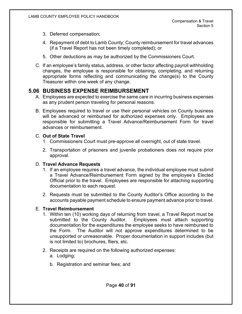- 3. Deferred compensation;
- 4. Repayment of debt to Lamb County; County reimbursement for travel advances (if a Travel Report has not been timely completed); or
- 5. Other deductions as may be authorized by the Commissioners Court.
- C. If an employee's family status, address, or other factor affecting payroll withholding changes, the employee is responsible for obtaining, completing, and returning appropriate forms reflecting and communicating the change(s) to the County Treasurer within one week of any change.

# **5.06 BUSINESS EXPENSE REIMBURSEMENT**

- A. Employees are expected to exercise the same care in incurring business expenses as any prudent person traveling for personal reasons.
- B. Employees required to travel or use their personal vehicles on County business will be advanced or reimbursed for authorized expenses only. Employees are responsible for submitting a Travel Advance/Reimbursement Form for travel advances or reimbursement.

### C. **Out of State Travel**

- 1. Commissioners Court must pre-approve all overnight, out of state travel.
- 2. Transportation of prisoners and juvenile probationers does not require prior approval.

### D. **Travel Advance Requests**

- 1. If an employee requires a travel advance, the individual employee must submit a Travel Advance/Reimbursement Form signed by the employee's Elected Official prior to the travel. Employees are responsible for attaching supporting documentation to each request.
- 2. Requests must be submitted to the County Auditor's Office according to the accounts payable payment schedule to ensure payment advance prior to travel.

### E. **Travel Reimbursement**

- 1. Within ten (10) working days of returning from travel, a Travel Report must be submitted to the County Auditor. Employees must attach supporting documentation for the expenditures the employee seeks to have reimbursed to the Form. The Auditor will not approve expenditures determined to be unsupported or unreasonable. Proper documentation in support includes (but is not limited to) brochures, fliers, etc.
- 2. Receipts are required on the following authorized expenses:
	- a. Lodging;
	- b. Registration and seminar fees; and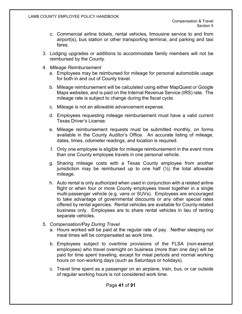- c. Commercial airline tickets, rental vehicles, limousine service to and from airport(s), bus station or other transporting terminal, and parking and taxi fares.
- 3. Lodging upgrades or additions to accommodate family members will not be reimbursed by the County.
- 4. *Mileage Reimbursement*
	- a. Employees may be reimbursed for mileage for personal automobile usage for both in and out of County travel.
	- b. Mileage reimbursement will be calculated using either MapQuest or Google Maps websites, and is paid on the Internal Revenue Service (IRS) rate. The mileage rate is subject to change during the fiscal cycle.
	- c. Mileage is not an allowable advancement expense.
	- d. Employees requesting mileage reimbursement must have a valid current Texas Driver's License.
	- e. Mileage reimbursement requests must be submitted monthly, on forms available in the County Auditor's Office. An accurate listing of mileage, dates, times, odometer readings, and location is required.
	- f. Only one employee is eligible for mileage reimbursement in the event more than one County employee travels in one personal vehicle.
	- g. Sharing mileage costs with a Texas County employee from another jurisdiction may be reimbursed up to one half  $(\frac{1}{2})$  the total allowable mileage.
	- h. Auto rental is only authorized when used in conjunction with a related airline flight or when four or more County employees travel together in a single multi-passenger vehicle (e.g. vans or SUVs). Employees are encouraged to take advantage of governmental discounts or any other special rates offered by rental agencies. Rental vehicles are available for County-related business only. Employees are to share rental vehicles in lieu of renting separate vehicles.
- 5. *Compensation/Pay During Travel*
	- a. Hours worked will be paid at the regular rate of pay. Neither sleeping nor meal times will be compensated as work time.
	- b. Employees subject to overtime provisions of the FLSA (non-exempt employees) who travel overnight on business (more than one day) will be paid for time spent traveling, except for meal periods and normal working hours on non-working days (such as Saturdays or holidays).
	- c. Travel time spent as a passenger on an airplane, train, bus, or car outside of regular working hours is not considered work time.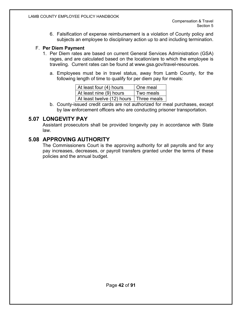6. Falsification of expense reimbursement is a violation of County policy and subjects an employee to disciplinary action up to and including termination.

#### F. **Per Diem Payment**

- 1. Per Diem rates are based on current General Services Administration (GSA) rages, and are calculated based on the location/are to which the employee is traveling. Current rates can be found at www.gsa.gov/travel-resources.
	- a. Employees must be in travel status, away from Lamb County, for the following length of time to qualify for per diem pay for meals:

| At least four (4) hours                  | One meal  |
|------------------------------------------|-----------|
| At least nine (9) hours                  | Two meals |
| At least twelve (12) hours   Three meals |           |

b. County-issued credit cards are not authorized for meal purchases, except by law enforcement officers who are conducting prisoner transportation.

# **5.07 LONGEVITY PAY**

Assistant prosecutors shall be provided longevity pay in accordance with State law.

## **5.08 APPROVING AUTHORITY**

The Commissioners Court is the approving authority for all payrolls and for any pay increases, decreases, or payroll transfers granted under the terms of these policies and the annual budget.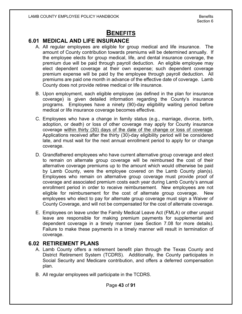# **BENEFITS**

# **6.01 MEDICAL AND LIFE INSURANCE**

- A. All regular employees are eligible for group medical and life insurance. The amount of County contribution towards premiums will be determined annually. If the employee elects for group medical, life, and dental insurance coverage, the premium due will be paid through payroll deduction. An eligible employee may elect dependent coverage at their own expense; such dependent coverage premium expense will be paid by the employee through payroll deduction. All premiums are paid one month in advance of the effective date of coverage. Lamb County does not provide retiree medical or life insurance.
- B. Upon employment, each eligible employee (as defined in the plan for insurance coverage) is given detailed information regarding the County's insurance programs. Employees have a ninety (90)-day eligibility waiting period before medical or life insurance coverage becomes effective.
- C. Employees who have a change in family status (e.g., marriage, divorce, birth, adoption, or death) or loss of other coverage may apply for County insurance coverage within thirty (30) days of the date of the change or loss of coverage. Applications received after the thirty (30)-day eligibility period will be considered late, and must wait for the next annual enrollment period to apply for or change coverage.
- D. Grandfathered employees who have current alternative group coverage and elect to remain on alternate group coverage will be reimbursed the cost of their alternative coverage premiums up to the amount which would otherwise be paid by Lamb County, were the employee covered on the Lamb County plan(s). Employees who remain on alternative group coverage must provide proof of coverage and associated premium costs each year during Lamb County's annual enrollment period in order to receive reimbursement. New employees are not eligible for reimbursement for the cost of alternate group coverage. New employees who elect to pay for alternate group coverage must sign a Waiver of County Coverage, and will not be compensated for the cost of alternate coverage.
- E. Employees on leave under the Family Medical Leave Act (FMLA) or other unpaid leave are responsible for making premium payments for supplemental and dependent coverage in a timely manner (see Section 7.08 for more details). Failure to make these payments in a timely manner will result in termination of coverage.

## **6.02 RETIREMENT PLANS**

- A. Lamb County offers a retirement benefit plan through the Texas County and District Retirement System (TCDRS). Additionally, the County participates in Social Security and Medicare contribution, and offers a deferred compensation plan.
- B. All regular employees will participate in the TCDRS.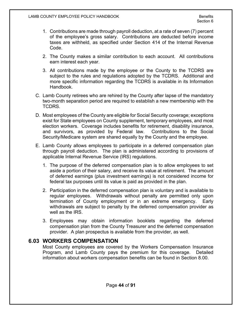- 1. Contributions are made through payroll deduction, at a rate of seven (7) percent of the employee's gross salary. Contributions are deducted before income taxes are withheld, as specified under Section 414 of the Internal Revenue Code.
- 2. The County makes a similar contribution to each account. All contributions earn interest each year.
- 3. All contributions made by the employee or the County to the TCDRS are subject to the rules and regulations adopted by the TCDRS. Additional and more specific information regarding the TCDRS is available in its Information Handbook.
- C. Lamb County retirees who are rehired by the County after lapse of the mandatory two-month separation period are required to establish a new membership with the TCDRS.
- D. Most employees of the County are eligible for Social Security coverage; exceptions exist for State employees on County supplement, temporary employees, and most election workers. Coverage includes benefits for retirement, disability insurance, and survivors, as provided by Federal law. Contributions to the Social Security/Medicare system are shared equally by the County and the employee.
- E. Lamb County allows employees to participate in a deferred compensation plan through payroll deduction. The plan is administered according to provisions of applicable Internal Revenue Service (IRS) regulations.
	- 1. The purpose of the deferred compensation plan is to allow employees to set aside a portion of their salary, and receive its value at retirement. The amount of deferred earnings (plus investment earnings) is not considered income for federal tax purposes until its value is paid as provided in the plan.
	- 2. Participation in the deferred compensation plan is voluntary and is available to regular employees. Withdrawals without penalty are permitted only upon termination of County employment or in an extreme emergency. Early withdrawals are subject to penalty by the deferred compensation provider as well as the IRS.
	- 3. Employees may obtain information booklets regarding the deferred compensation plan from the County Treasurer and the deferred compensation provider. A plan prospectus is available from the provider, as well.

## **6.03 WORKERS COMPENSATION**

Most County employees are covered by the Workers Compensation Insurance Program, and Lamb County pays the premium for this coverage. Detailed information about workers compensation benefits can be found in Section 8.00.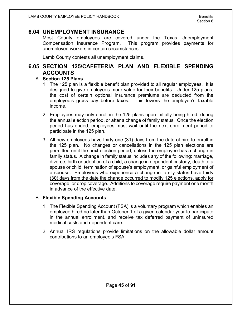#### **6.04 UNEMPLOYMENT INSURANCE**

Most County employees are covered under the Texas Unemployment Compensation Insurance Program. This program provides payments for unemployed workers in certain circumstances.

Lamb County contests all unemployment claims.

# **6.05 SECTION 125/CAFETERIA PLAN AND FLEXIBLE SPENDING ACCOUNTS**

#### A. **Section 125 Plans**

- 1. The 125 plan is a flexible benefit plan provided to all regular employees. It is designed to give employees more value for their benefits. Under 125 plans, the cost of certain optional insurance premiums are deducted from the employee's gross pay before taxes. This lowers the employee's taxable income.
- 2. Employees may only enroll in the 125 plans upon initially being hired, during the annual election period, or after a change of family status. Once the election period has ended, employees must wait until the next enrollment period to participate in the 125 plan.
- 3. All new employees have thirty-one (31) days from the date of hire to enroll in the 125 plan. No changes or cancellations in the 125 plan elections are permitted until the next election period, unless the employee has a change in family status. A change in family status includes any of the following: marriage, divorce, birth or adoption of a child, a change in dependent custody, death of a spouse or child, termination of spouse's employment, or gainful employment of a spouse. Employees who experience a change in family status have thirty (30) days from the date the change occurred to modify 125 elections, apply for coverage, or drop coverage. Additions to coverage require payment one month in advance of the effective date.

#### B. **Flexible Spending Accounts**

- 1. The Flexible Spending Account (FSA) is a voluntary program which enables an employee hired no later than October 1 of a given calendar year to participate in the annual enrollment, and receive tax deferred payment of uninsured medical costs and dependent care.
- 2. Annual IRS regulations provide limitations on the allowable dollar amount contributions to an employee's FSA.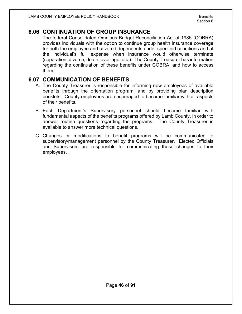### **6.06 CONTINUATION OF GROUP INSURANCE**

The federal Consolidated Omnibus Budget Reconciliation Act of 1985 (COBRA) provides individuals with the option to continue group health insurance coverage for both the employee and covered dependents under specified conditions and at the individual's full expense when insurance would otherwise terminate (separation, divorce, death, over-age, etc.). The County Treasurer has information regarding the continuation of these benefits under COBRA, and how to access them.

### **6.07 COMMUNICATION OF BENEFITS**

- A. The County Treasurer is responsible for informing new employees of available benefits through the orientation program, and by providing plan description booklets. County employees are encouraged to become familiar with all aspects of their benefits.
- B. Each Department's Supervisory personnel should become familiar with fundamental aspects of the benefits programs offered by Lamb County, in order to answer routine questions regarding the programs. The County Treasurer is available to answer more technical questions.
- C. Changes or modifications to benefit programs will be communicated to supervisory/management personnel by the County Treasurer. Elected Officials and Supervisors are responsible for communicating these changes to their employees.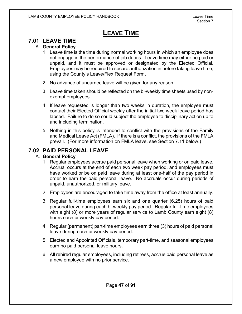# **LEAVE TIME**

# **7.01 LEAVE TIME**

#### A. **General Policy**

- 1. Leave time is the time during normal working hours in which an employee does not engage in the performance of job duties. Leave time may either be paid or unpaid, and it must be approved or designated by the Elected Official. Employees may be required to secure authorization in before taking leave time, using the County's Leave/Flex Request Form.
- 2. No advance of unearned leave will be given for any reason.
- 3. Leave time taken should be reflected on the bi-weekly time sheets used by nonexempt employees.
- 4. If leave requested is longer than two weeks in duration, the employee must contact their Elected Official weekly after the initial two week leave period has lapsed. Failure to do so could subject the employee to disciplinary action up to and including termination.
- 5. Nothing in this policy is intended to conflict with the provisions of the Family and Medical Leave Act (FMLA). If there is a conflict, the provisions of the FMLA prevail. (For more information on FMLA leave, see Section 7.11 below.)

# **7.02 PAID PERSONAL LEAVE**

#### A. **General Policy**

- 1. Regular employees accrue paid personal leave when working or on paid leave. Accrual occurs at the end of each two week pay period, and employees must have worked or be on paid leave during at least one-half of the pay period in order to earn the paid personal leave. No accruals occur during periods of unpaid, unauthorized, or military leave.
- 2. Employees are encouraged to take time away from the office at least annually.
- 3. Regular full-time employees earn six and one quarter (6.25) hours of paid personal leave during each bi-weekly pay period. Regular full-time employees with eight (8) or more years of regular service to Lamb County earn eight (8) hours each bi-weekly pay period.
- 4. Regular (permanent) part-time employees earn three (3) hours of paid personal leave during each bi-weekly pay period.
- 5. Elected and Appointed Officials, temporary part-time, and seasonal employees earn no paid personal leave hours.
- 6. All rehired regular employees, including retirees, accrue paid personal leave as a new employee with no prior service.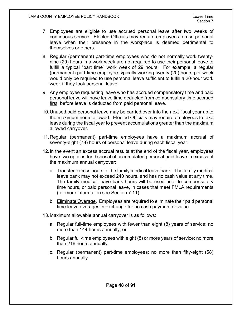- 7. Employees are eligible to use accrued personal leave after two weeks of continuous service. Elected Officials may require employees to use personal leave when their presence in the workplace is deemed detrimental to themselves or others.
- 8. Regular (permanent) part-time employees who do not normally work twentynine (29) hours in a work week are not required to use their personal leave to fulfill a typical "part time" work week of 29 hours. For example, a regular (permanent) part-time employee typically working twenty (20) hours per week would only be required to use personal leave sufficient to fulfill a 20-hour work week if they took personal leave.
- 9. Any employee requesting leave who has accrued compensatory time and paid personal leave will have leave time deducted from compensatory time accrued first, before leave is deducted from paid personal leave.
- 10.Unused paid personal leave may be carried over into the next fiscal year up to the maximum hours allowed. Elected Officials may require employees to take leave during the fiscal year to prevent accumulations greater than the maximum allowed carryover.
- 11.Regular (permanent) part-time employees have a maximum accrual of seventy-eight (78) hours of personal leave during each fiscal year.
- 12.In the event an excess accrual results at the end of the fiscal year, employees have two options for disposal of accumulated personal paid leave in excess of the maximum annual carryover:
	- a. Transfer excess hours to the family medical leave bank. The family medical leave bank may not exceed 240 hours, and has no cash value at any time. The family medical leave bank hours will be used prior to compensatory time hours, or paid personal leave, in cases that meet FMLA requirements (for more information see Section 7.11).
	- b. Eliminate Overage. Employees are required to eliminate their paid personal time leave overages in exchange for no cash payment or value.
- 13.Maximum allowable annual carryover is as follows:
	- a. Regular full-time employees with fewer than eight (8) years of service: no more than 144 hours annually; or
	- b. Regular full-time employees with eight (8) or more years of service: no more than 216 hours annually.
	- c. Regular (permanent) part-time employees: no more than fifty-eight (58) hours annually.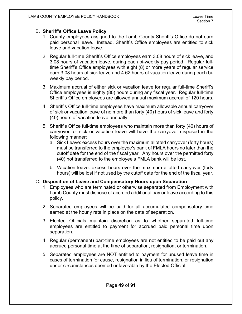#### B. **Sheriff's Office Leave Policy**

- 1. County employees assigned to the Lamb County Sheriff's Office do not earn paid personal leave. Instead, Sheriff's Office employees are entitled to sick leave and vacation leave.
- 2. Regular full-time Sheriff's Office employees earn 3.08 hours of sick leave, and 3.08 hours of vacation leave, during each bi-weekly pay period. Regular fulltime Sheriff's Office employees with eight (8) or more years of regular service earn 3.08 hours of sick leave and 4.62 hours of vacation leave during each biweekly pay period.
- 3. Maximum accrual of either sick or vacation leave for regular full-time Sheriff's Office employees is eighty (80) hours during any fiscal year. Regular full-time Sheriff's Office employees are allowed annual maximum accrual of 120 hours.
- 4. Sheriff's Office full-time employees have maximum allowable annual carryover of sick or vacation leave of no more than forty (40) hours of sick leave and forty (40) hours of vacation leave annually.
- 5. Sheriff's Office full-time employees who maintain more than forty (40) hours of carryover for sick or vacation leave will have the carryover disposed in the following manner:
	- a. Sick Leave: excess hours over the maximum allotted carryover (forty hours) must be transferred to the employee's bank of FMLA hours no later than the cutoff date for the end of the fiscal year. Any hours over the permitted forty (40) not transferred to the employee's FMLA bank will be lost.
	- b. Vacation leave: excess hours over the maximum allotted carryover (forty hours) will be lost if not used by the cutoff date for the end of the fiscal year.

#### C. **Disposition of Leave and Compensatory Hours upon Separation**

- 1. Employees who are terminated or otherwise separated from Employment with Lamb County must dispose of accrued additional pay or leave according to this policy.
- 2. Separated employees will be paid for all accumulated compensatory time earned at the hourly rate in place on the date of separation.
- 3. Elected Officials maintain discretion as to whether separated full-time employees are entitled to payment for accrued paid personal time upon separation.
- 4. Regular (permanent) part-time employees are not entitled to be paid out any accrued personal time at the time of separation, resignation, or termination.
- 5. Separated employees are NOT entitled to payment for unused leave time in cases of termination for cause, resignation in lieu of termination, or resignation under circumstances deemed unfavorable by the Elected Official.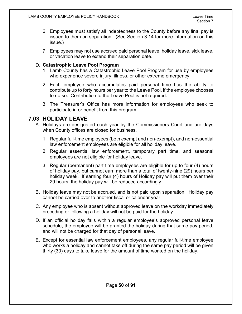- 6. Employees must satisfy all indebtedness to the County before any final pay is issued to them on separation. (See Section 3.14 for more information on this issue.)
- 7. Employees may not use accrued paid personal leave, holiday leave, sick leave, or vacation leave to extend their separation date.

#### D. **Catastrophic Leave Pool Program**

- 1. Lamb County has a Catastrophic Leave Pool Program for use by employees who experience severe injury, illness, or other extreme emergency.
- 2. Each employee who accumulates paid personal time has the ability to contribute up to forty hours per year to the Leave Pool, if the employee chooses to do so. Contribution to the Leave Pool is not required.
- 3. The Treasurer's Office has more information for employees who seek to participate in or benefit from this program.

## **7.03 HOLIDAY LEAVE**

- A. Holidays are designated each year by the Commissioners Court and are days when County offices are closed for business.
	- 1. Regular full-time employees (both exempt and non-exempt), and non-essential law enforcement employees are eligible for all holiday leave.
	- 2. Regular essential law enforcement, temporary part time, and seasonal employees are not eligible for holiday leave.
	- 3. Regular (permanent) part time employees are eligible for up to four (4) hours of holiday pay, but cannot earn more than a total of twenty-nine (29) hours per holiday week. If earning four (4) hours of Holiday pay will put them over their 29 hours, the holiday pay will be reduced accordingly.
- B. Holiday leave may not be accrued, and is not paid upon separation. Holiday pay cannot be carried over to another fiscal or calendar year.
- C. Any employee who is absent without approved leave on the workday immediately preceding or following a holiday will not be paid for the holiday.
- D. If an official holiday falls within a regular employee's approved personal leave schedule, the employee will be granted the holiday during that same pay period, and will not be charged for that day of personal leave.
- E. Except for essential law enforcement employees, any regular full-time employee who works a holiday and cannot take off during the same pay period will be given thirty (30) days to take leave for the amount of time worked on the holiday.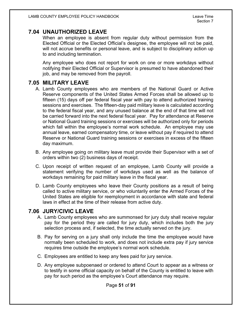## **7.04 UNAUTHORIZED LEAVE**

When an employee is absent from regular duty without permission from the Elected Official or the Elected Official's designee, the employee will not be paid, will not accrue benefits or personal leave, and is subject to disciplinary action up to and including termination.

Any employee who does not report for work on one or more workdays without notifying their Elected Official or Supervisor is presumed to have abandoned their job, and may be removed from the payroll.

# **7.05 MILITARY LEAVE**

- A. Lamb County employees who are members of the National Guard or Active Reserve components of the United States Armed Forces shall be allowed up to fifteen (15) days off per federal fiscal year with pay to attend authorized training sessions and exercises. The fifteen-day paid military leave is calculated according to the federal fiscal year, and any unused balance at the end of that time will not be carried forward into the next federal fiscal year. Pay for attendance at Reserve or National Guard training sessions or exercises will be authorized only for periods which fall within the employee's normal work schedule. An employee may use annual leave, earned compensatory time, or leave without pay if required to attend Reserve or National Guard training sessions or exercises in excess of the fifteen day maximum.
- B. Any employee going on military leave must provide their Supervisor with a set of orders within two (2) business days of receipt.
- C. Upon receipt of written request of an employee, Lamb County will provide a statement verifying the number of workdays used as well as the balance of workdays remaining for paid military leave in the fiscal year.
- D. Lamb County employees who leave their County positions as a result of being called to active military service, or who voluntarily enter the Armed Forces of the United States are eligible for reemployment in accordance with state and federal laws in effect at the time of their release from active duty.

# **7.06 JURY/CIVIC LEAVE**

- A. Lamb County employees who are summonsed for jury duty shall receive regular pay for the period they are called for jury duty, which includes both the jury selection process and, if selected, the time actually served on the jury.
- B. Pay for serving on a jury shall only include the time the employee would have normally been scheduled to work, and does not include extra pay if jury service requires time outside the employee's normal work schedule.
- C. Employees are entitled to keep any fees paid for jury service.
- D. Any employee subpoenaed or ordered to attend Court to appear as a witness or to testify in some official capacity on behalf of the County is entitled to leave with pay for such period as the employee's Court attendance may require.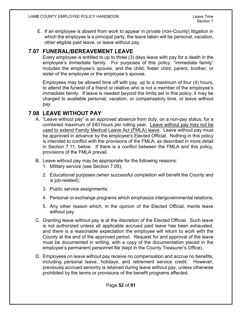E. If an employee is absent from work to appear in private (non-County) litigation in which the employee is a principal party, the leave taken will be personal, vacation, other eligible paid leave, or leave without pay.

## **7.07 FUNERAL/BEREAVEMENT LEAVE**

Every employee is entitled to up to three (3) days leave with pay for a death in the employee's immediate family. For purposes of this policy, "immediate family" includes the employee's spouse, and the child, foster child, parent, brother, or sister of the employee or the employee's spouse.

Employees may be allowed time off with pay, up to a maximum of four (4) hours, to attend the funeral of a friend or relative who is not a member of the employee's immediate family. If leave is needed beyond the limits set in this policy, it may be charged to available personal, vacation, or compensatory time, or leave without pay.

# **7.08 LEAVE WITHOUT PAY**

- A. "Leave without pay" is an approved absence from duty, on a non-pay status, for a combined maximum of 240 hours per rolling year. Leave without pay may not be used to extend Family Medical Leave Act (FMLA) leave. Leave without pay must be approved in advance by the employee's Elected Official. Nothing in this policy is intended to conflict with the provisions of the FMLA, as described in more detail in Section 7.11, below. If there is a conflict between the FMLA and this policy, provisions of the FMLA prevail.
- B. Leave without pay may be appropriate for the following reasons:
	- 1. Military service (see Section 7.05);
	- 2. Educational purposes (when successful completion will benefit the County and is job-related);
	- 3. Public service assignments;
	- 4. Personal or exchange programs which emphasize intergovernmental relations;
	- 5. Any other reason which, in the opinion of the Elected Official, merits leave without pay.
- C. Granting leave without pay is at the discretion of the Elected Official. Such leave is not authorized unless all applicable accrued paid leave has been exhausted, and there is a reasonable expectation the employee will return to work with the County at the end of the approved period. Request for and approval of the leave must be documented in writing, with a copy of the documentation placed in the employee's permanent personnel file (kept in the County Treasurer's Office).
- D. Employees on leave without pay receive no compensation and accrue no benefits, including personal leave, holidays, and retirement service credit. However, previously accrued seniority is retained during leave without pay, unless otherwise prohibited by the terms or provisions of the benefit programs affected.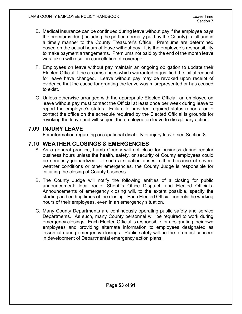- E. Medical insurance can be continued during leave without pay if the employee pays the premiums due (including the portion normally paid by the County) in full and in a timely manner to the County Treasurer's Office. Premiums are determined based on the actual hours of leave without pay. It is the employee's responsibility to make payment arrangements. Premiums not paid by the end of the month leave was taken will result in cancellation of coverage.
- F. Employees on leave without pay maintain an ongoing obligation to update their Elected Official if the circumstances which warranted or justified the initial request for leave have changed. Leave without pay may be revoked upon receipt of evidence that the cause for granting the leave was misrepresented or has ceased to exist.
- G. Unless otherwise arranged with the appropriate Elected Official, an employee on leave without pay must contact the Official at least once per week during leave to report the employee's status. Failure to provided required status reports, or to contact the office on the schedule required by the Elected Official is grounds for revoking the leave and will subject the employee on leave to disciplinary action.

# **7.09 INJURY LEAVE**

For information regarding occupational disability or injury leave, see Section 8.

# **7.10 WEATHER CLOSINGS & EMERGENCIES**

- A. As a general practice, Lamb County will not close for business during regular business hours unless the health, safety, or security of County employees could be seriously jeopardized. If such a situation arises, either because of severe weather conditions or other emergencies, the County Judge is responsible for initiating the closing of County business.
- B. The County Judge will notify the following entities of a closing for public announcement: local radio, Sheriff's Office Dispatch and Elected Officials. Announcements of emergency closing will, to the extent possible, specify the starting and ending times of the closing. Each Elected Official controls the working hours of their employees, even in an emergency situation.
- C. Many County Departments are continuously operating public safety and service Departments. As such, many County personnel will be required to work during emergency closings. Each Elected Official is responsible for designating their own employees and providing alternate information to employees designated as essential during emergency closings. Public safety will be the foremost concern in development of Departmental emergency action plans.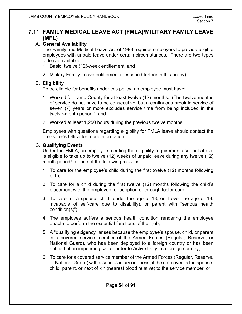# **7.11 FAMILY MEDICAL LEAVE ACT (FMLA)/MILITARY FAMILY LEAVE (MFL)**

### A. **General Availability**

The Family and Medical Leave Act of 1993 requires employers to provide eligible employees with unpaid leave under certain circumstances. There are two types of leave available:

- 1. Basic, twelve (12)-week entitlement; and
- 2. Military Family Leave entitlement (described further in this policy).

#### B. **Eligibility**

To be eligible for benefits under this policy, an employee must have:

- 1. Worked for Lamb County for at least twelve (12) months. (The twelve months of service do not have to be consecutive, but a continuous break in service of seven (7) years or more excludes service time from being included in the twelve-month period.); and
- 2. Worked at least 1,250 hours during the previous twelve months.

Employees with questions regarding eligibility for FMLA leave should contact the Treasurer's Office for more information.

#### C. **Qualifying Events**

Under the FMLA, an employee meeting the eligibility requirements set out above is eligible to take up to twelve (12) weeks of unpaid leave during any twelve (12) month period<sup>a</sup> for one of the following reasons:

- 1. To care for the employee's child during the first twelve (12) months following birth;
- 2. To care for a child during the first twelve (12) months following the child's placement with the employee for adoption or through foster care;
- 3. To care for a spouse, child (under the age of 18; or if over the age of 18, incapable of self-care due to disability), or parent with "serious health condition(s)";
- 4. The employee suffers a serious health condition rendering the employee unable to perform the essential functions of their job;
- 5. A "qualifying exigency" arises because the employee's spouse, child, or parent is a covered service member of the Armed Forces (Regular, Reserve, or National Guard), who has been deployed to a foreign country or has been notified of an impending call or order to Active Duty in a foreign country;
- 6. To care for a covered service member of the Armed Forces (Regular, Reserve, or National Guard) with a serious injury or illness, if the employee is the spouse, child, parent, or next of kin (nearest blood relative) to the service member; or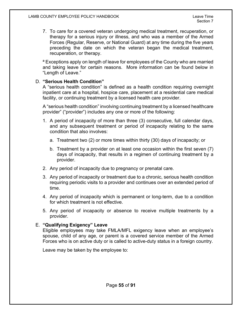7. To care for a covered veteran undergoing medical treatment, recuperation, or therapy for a serious injury or illness, and who was a member of the Armed Forces (Regular, Reserve, or National Guard) at any time during the five years preceding the date on which the veteran began the medical treatment, recuperation, or therapy.

ª Exceptions apply on length of leave for employees of the County who are married and taking leave for certain reasons. More information can be found below in "Length of Leave."

#### D. **"Serious Health Condition"**

A "serious health condition" is defined as a health condition requiring overnight inpatient care at a hospital, hospice care, placement at a residential care medical facility, or continuing treatment by a licensed health care provider.

A "serious health condition" involving continuing treatment by a licensed healthcare provider" ("provider") includes any one or more of the following:

- 1. A period of incapacity of more than three (3) consecutive, full calendar days, and any subsequent treatment or period of incapacity relating to the same condition that also involves:
	- a. Treatment two (2) or more times within thirty (30) days of incapacity; or
	- b. Treatment by a provider on at least one occasion within the first seven (7) days of incapacity, that results in a regimen of continuing treatment by a provider.
- 2. Any period of incapacity due to pregnancy or prenatal care.
- 3. Any period of incapacity or treatment due to a chronic, serious health condition requiring periodic visits to a provider and continues over an extended period of time.
- 4. Any period of incapacity which is permanent or long-term, due to a condition for which treatment is not effective.
- 5. Any period of incapacity or absence to receive multiple treatments by a provider.

#### E. **"Qualifying Exigency" Leave**

Eligible employees may take FMLA/MFL exigency leave when an employee's spouse, child of any age, or parent is a covered service member of the Armed Forces who is on active duty or is called to active-duty status in a foreign country.

Leave may be taken by the employee to: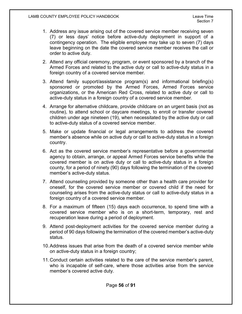- 1. Address any issue arising out of the covered service member receiving seven (7) or less days' notice before active-duty deployment in support of a contingency operation. The eligible employee may take up to seven (7) days leave beginning on the date the covered service member receives the call or order to active duty.
- 2. Attend any official ceremony, program, or event sponsored by a branch of the Armed Forces and related to the active duty or call to active-duty status in a foreign country of a covered service member.
- 3. Attend family support/assistance program(s) and informational briefing(s) sponsored or promoted by the Armed Forces, Armed Forces service organizations, or the American Red Cross, related to active duty or call to active-duty status in a foreign country of a covered service member.
- 4. Arrange for alternative childcare, provide childcare on an urgent basis (not as routine), to attend school or daycare meetings, to enroll or transfer covered children under age nineteen (19), when necessitated by the active duty or call to active-duty status of a covered service member.
- 5. Make or update financial or legal arrangements to address the covered member's absence while on active duty or call to active-duty status in a foreign country.
- 6. Act as the covered service member's representative before a governmental agency to obtain, arrange, or appeal Armed Forces service benefits while the covered member is on active duty or call to active-duty status in a foreign county, for a period of ninety (90) days following the termination of the covered member's active-duty status.
- 7. Attend counseling provided by someone other than a health care provider for oneself, for the covered service member or covered child if the need for counseling arises from the active-duty status or call to active-duty status in a foreign country of a covered service member.
- 8. For a maximum of fifteen (15) days each occurrence, to spend time with a covered service member who is on a short-term, temporary, rest and recuperation leave during a period of deployment.
- 9. Attend post-deployment activities for the covered service member during a period of 90 days following the termination of the covered member's active-duty status.
- 10.Address issues that arise from the death of a covered service member while on active-duty status in a foreign country;
- 11.Conduct certain activities related to the care of the service member's parent, who is incapable of self-care, where those activities arise from the service member's covered active duty.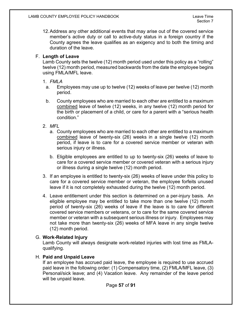12.Address any other additional events that may arise out of the covered service member's active duty or call to active-duty status in a foreign country if the County agrees the leave qualifies as an exigency and to both the timing and duration of the leave.

#### F. **Length of Leave**

Lamb County sets the twelve (12) month period used under this policy as a "rolling" twelve (12) month period, measured backwards from the date the employee begins using FMLA/MFL leave.

#### 1. *FMLA*

- a. Employees may use up to twelve (12) weeks of leave per twelve (12) month period.
- b. County employees who are married to each other are entitled to a maximum combined leave of twelve (12) weeks, in any twelve (12) month period for the birth or placement of a child, or care for a parent with a "serious health condition."
- 2. *MFL*
	- a. County employees who are married to each other are entitled to a maximum combined leave of twenty-six (26) weeks in a single twelve (12) month period, if leave is to care for a covered service member or veteran with serious injury or illness.
	- b. Eligible employees are entitled to up to twenty-six (26) weeks of leave to care for a covered service member or covered veteran with a serious injury or illness during a single twelve (12) month period.
- 3. If an employee is entitled to twenty-six (26) weeks of leave under this policy to care for a covered service member or veteran, the employee forfeits unused leave if it is not completely exhausted during the twelve (12) month period.
- 4. Leave entitlement under this section is determined on a per-injury basis. An eligible employee may be entitled to take more than one twelve (12) month period of twenty-six (26) weeks of leave if the leave is to care for different covered service members or veterans, or to care for the same covered service member or veteran with a subsequent serious illness or injury. Employees may not take more than twenty-six (26) weeks of MFA leave in any single twelve (12) month period.

### G. **Work-Related Injury**

Lamb County will always designate work-related injuries with lost time as FMLAqualifying.

### H. **Paid and Unpaid Leave**

If an employee has accrued paid leave, the employee is required to use accrued paid leave in the following order: (1) Compensatory time, (2) FMLA/MFL leave, (3) Personal/sick leave; and (4) Vacation leave. Any remainder of the leave period will be unpaid leave.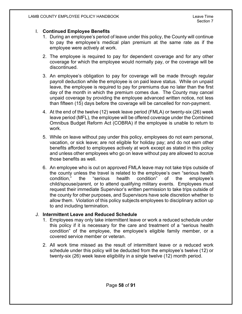#### I. **Continued Employee Benefits**

- 1. During an employee's period of leave under this policy, the County will continue to pay the employee's medical plan premium at the same rate as if the employee were actively at work.
- 2. The employee is required to pay for dependent coverage and for any other coverage for which the employee would normally pay, or the coverage will be discontinued.
- 3. An employee's obligation to pay for coverage will be made through regular payroll deduction while the employee is on paid leave status. While on unpaid leave, the employee is required to pay for premiums due no later than the first day of the month in which the premium comes due. The County may cancel unpaid coverage by providing the employee advanced written notice, not less than fifteen (15) days before the coverage will be cancelled for non-payment.
- 4. At the end of the twelve (12) week leave period (FMLA) or twenty-six (26) week leave period (MFL), the employee will be offered coverage under the Combined Omnibus Budget Reform Act (COBRA) if the employee is unable to return to work.
- 5. While on leave without pay under this policy, employees do not earn personal, vacation, or sick leave; are not eligible for holiday pay; and do not earn other benefits afforded to employees actively at work except as stated in this policy and unless other employees who go on leave without pay are allowed to accrue those benefits as well.
- 6. An employee who is out on approved FMLA leave may not take trips outside of the county unless the travel is related to the employee's own "serious health condition," the "serious health condition" of the employee's child/spouse/parent, or to attend qualifying military events. Employees must request their immediate Supervisor's written permission to take trips outside of the county for other purposes, and Supervisors have sole discretion whether to allow them. Violation of this policy subjects employees to disciplinary action up to and including termination.

#### J. **Intermittent Leave and Reduced Schedule**

- 1. Employees may only take intermittent leave or work a reduced schedule under this policy if it is necessary for the care and treatment of a "serious health condition" of the employee, the employee's eligible family member, or a covered service member or veteran.
- 2. All work time missed as the result of intermittent leave or a reduced work schedule under this policy will be deducted from the employee's twelve (12) or twenty-six (26) week leave eligibility in a single twelve (12) month period.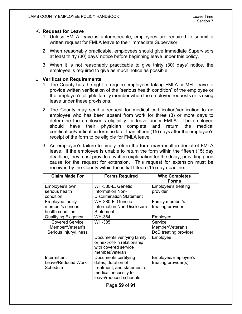#### K. **Request for Leave**

- 1. Unless FMLA leave is unforeseeable, employees are required to submit a written request for FMLA leave to their immediate Supervisor.
- 2. When reasonably practicable, employees should give immediate Supervisors at least thirty (30) days' notice before beginning leave under this policy.
- 3. When it is not reasonably practicable to give thirty (30) days' notice, the employee is required to give as much notice as possible.

#### L. **Verification Requirements**

- 1. The County has the right to require employees taking FMLA or MFL leave to provide written verification of the "serious health condition" of the employee or the employee's eligible family member when the employee requests or is using leave under these provisions.
- 2. The County may send a request for medical certification/verification to an employee who has been absent from work for three (3) or more days to determine the employee's eligibility for leave under FMLA. The employee should have their physician complete and return the medical certification/verification form no later than fifteen (15) days after the employee's receipt of the form to be eligible for FMLA leave.
- 3. An employee's failure to timely return the form may result in denial of FMLA leave. If the employee is unable to return the form within the fifteen (15) day deadline, they must provide a written explanation for the delay, providing good cause for the request for extension. This request for extension must be received by the County within the initial fifteen (15) day deadline.

| <b>Claim Made For</b>      | <b>Forms Required</b>                                                                               | <b>Who Completes</b><br><b>Forms</b> |
|----------------------------|-----------------------------------------------------------------------------------------------------|--------------------------------------|
| Employee's own             | WH-380-E, Genetic                                                                                   | Employee's treating                  |
| serious health             | Information Non-                                                                                    | provider                             |
| condition                  | <b>Discrimination Statement</b>                                                                     |                                      |
| Employee family            | WH-380-F, Genetic                                                                                   | Family member's                      |
| member's serious           | <b>Information Non-Disclosure</b>                                                                   | treating provider                    |
| health condition           | Statement                                                                                           |                                      |
| <b>Qualifying Exigency</b> | WH-384                                                                                              | Employee                             |
| <b>Covered Service</b>     | <b>WH-385</b>                                                                                       | Service                              |
| Member/Veteran's           |                                                                                                     | Member/Veteran's                     |
| Serious Injury/Illness     |                                                                                                     | DoD treating provider                |
|                            | Documents verifying family<br>or next-of-kin relationship<br>with covered service<br>member/veteran | Employee                             |
| Intermittent               | Documents certifying                                                                                | Employee/Employee's                  |
| Leave/Reduced Work         | dates, duration of                                                                                  | treating provider(s)                 |
| Schedule                   | treatment, and statement of                                                                         |                                      |
|                            | medical necessity for                                                                               |                                      |
|                            | leave/reduced schedule                                                                              |                                      |

Page **59** of **91**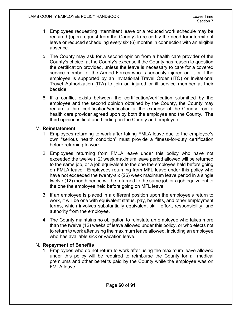- 4. Employees requesting intermittent leave or a reduced work schedule may be required (upon request from the County) to re-certify the need for intermittent leave or reduced scheduling every six (6) months in connection with an eligible absence.
- 5. The County may ask for a second opinion from a health care provider of the County's choice, at the County's expense if the County has reason to question the certification provided, unless the leave is necessary to care for a covered service member of the Armed Forces who is seriously injured or ill, or if the employee is supported by an Invitational Travel Order (ITO) or Invitational Travel Authorization (ITA) to join an injured or ill service member at their bedside.
- 6. If a conflict exists between the certification/verification submitted by the employee and the second opinion obtained by the County, the County may require a third certification/verification at the expense of the County from a health care provider agreed upon by both the employee and the County. The third opinion is final and binding on the County and employee.

#### M. **Reinstatement**

- 1. Employees returning to work after taking FMLA leave due to the employee's own "serious health condition" must provide a fitness-for-duty certification before returning to work.
- 2. Employees returning from FMLA leave under this policy who have not exceeded the twelve (12) week maximum leave period allowed will be returned to the same job, or a job equivalent to the one the employee held before going on FMLA leave. Employees returning from MFL leave under this policy who have not exceeded the twenty-six (26) week maximum leave period in a single twelve (12) month period will be returned to the same job or a job equivalent to the one the employee held before going on MFL leave.
- 3. If an employee is placed in a different position upon the employee's return to work, it will be one with equivalent status, pay, benefits, and other employment terms, which involves substantially equivalent skill, effort, responsibility, and authority from the employee.
- 4. The County maintains no obligation to reinstate an employee who takes more than the twelve (12) weeks of leave allowed under this policy, or who elects not to return to work after using the maximum leave allowed, including an employee who has available sick or vacation leave.

#### N. **Repayment of Benefits**

1. Employees who do not return to work after using the maximum leave allowed under this policy will be required to reimburse the County for all medical premiums and other benefits paid by the County while the employee was on FMLA leave.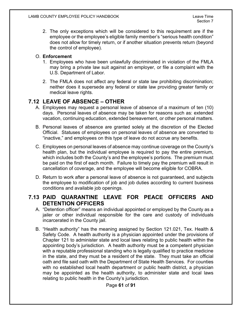2. The only exceptions which will be considered to this requirement are if the employee or the employee's eligible family member's "serious health condition" does not allow for timely return, or if another situation prevents return (beyond the control of employee).

### O. **Enforcement**

- 1. Employees who have been unlawfully discriminated in violation of the FMLA may bring a private law suit against an employer, or file a complaint with the U.S. Department of Labor.
- 2. The FMLA does not affect any federal or state law prohibiting discrimination; neither does it supersede any federal or state law providing greater family or medical leave rights.

# **7.12 LEAVE OF ABSENCE – OTHER**

- A. Employees may request a personal leave of absence of a maximum of ten (10) days. Personal leaves of absence may be taken for reasons such as: extended vacation, continuing education, extended bereavement, or other personal matters.
- B. Personal leaves of absence are granted solely at the discretion of the Elected Official. Statuses of employees on personal leaves of absence are converted to "inactive," and employees on this type of leave do not accrue any benefits.
- C. Employees on personal leaves of absence may continue coverage on the County's health plan, but the individual employee is required to pay the entire premium, which includes both the County's and the employee's portions. The premium must be paid on the first of each month. Failure to timely pay the premium will result in cancellation of coverage, and the employee will become eligible for COBRA.
- D. Return to work after a personal leave of absence is not guaranteed, and subjects the employee to modification of job and job duties according to current business conditions and available job openings.

# **7.13 PAID QUARANTINE LEAVE FOR PEACE OFFICERS AND DETENTION OFFICERS**

- A. "Detention officer" means an individual appointed or employed by the County as a jailer or other individual responsible for the care and custody of individuals incarcerated in the County jail.
- B. "Health authority" has the meaning assigned by Section 121.021, Tex. Health & Safety Code. A health authority is a physician appointed under the provisions of Chapter 121 to administer state and local laws relating to public health within the appointing body's jurisdiction. A health authority must be a competent physician with a reputable professional standing who is legally qualified to practice medicine in the state, and they must be a resident of the state. They must take an official oath and file said oath with the Department of State Health Services. For counties with no established local health department or public health district, a physician may be appointed as the health authority, to administer state and local laws relating to public health in the County's jurisdiction.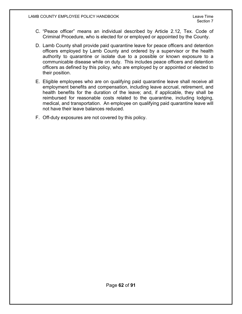- C. "Peace officer" means an individual described by Article 2.12, Tex. Code of Criminal Procedure, who is elected for or employed or appointed by the County.
- D. Lamb County shall provide paid quarantine leave for peace officers and detention officers employed by Lamb County and ordered by a supervisor or the health authority to quarantine or isolate due to a possible or known exposure to a communicable disease while on duty. This includes peace officers and detention officers as defined by this policy, who are employed by or appointed or elected to their position.
- E. Eligible employees who are on qualifying paid quarantine leave shall receive all employment benefits and compensation, including leave accrual, retirement, and health benefits for the duration of the leave; and, if applicable, they shall be reimbursed for reasonable costs related to the quarantine, including lodging, medical, and transportation. An employee on qualifying paid quarantine leave will not have their leave balances reduced.
- F. Off-duty exposures are not covered by this policy.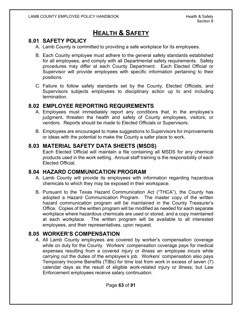# **HEALTH & SAFETY**

# **8.01 SAFETY POLICY**

- A. Lamb County is committed to providing a safe workplace for its employees.
- B. Each County employee must adhere to the general safety standards established for all employees, and comply with all Departmental safety requirements. Safety procedures may differ at each County Department. Each Elected Official or Supervisor will provide employees with specific information pertaining to their positions.
- C. Failure to follow safety standards set by the County, Elected Officials, and Supervisors subjects employees to disciplinary action up to and including termination.

# **8.02 EMPLOYEE REPORTING REQUIREMENTS**

- A. Employees must immediately report any conditions that, in the employee's judgment, threaten the health and safety of County employees, visitors, or vendors. Reports should be made to Elected Officials or Supervisors.
- B. Employees are encouraged to make suggestions to Supervisors for improvements or ideas with the potential to make the County a safer place to work.

# **8.03 MATERIAL SAFETY DATA SHEETS (MSDS)**

Each Elected Official will maintain a file containing all MSDS for any chemical products used in the work setting. Annual staff training is the responsibility of each Elected Official.

## **8.04 HAZARD COMMUNICATION PROGRAM**

- A. Lamb County will provide its employees with information regarding hazardous chemicals to which they may be exposed in their workspace.
- B. Pursuant to the Texas Hazard Communication Act ("THCA"), the County has adopted a Hazard Communication Program. The master copy of the written hazard communication program will be maintained in the County Treasurer's Office. Copies of the written program will be modified as needed for each separate workplace where hazardous chemicals are used or stored, and a copy maintained at each workplace. The written program will be available to all interested employees, and their representatives, upon request.

# **8.05 WORKER'S COMPENSATION**

A. All Lamb County employees are covered by worker's compensation coverage while on duty for the County. Workers' compensation coverage pays for medical expenses resulting from a covered injury or illness an employee incurs while carrying out the duties of the employee's job. Workers' compensation also pays Temporary Income Benefits (TIBs) for time lost from work in excess of seven (7) calendar days as the result of eligible work-related injury or illness; but Law Enforcement employees receive salary continuation.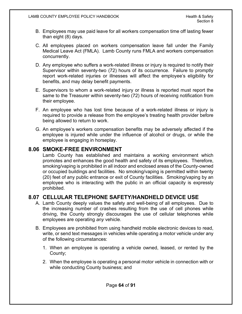- B. Employees may use paid leave for all workers compensation time off lasting fewer than eight (8) days.
- C. All employees placed on workers compensation leave fall under the Family Medical Leave Act (FMLA). Lamb County runs FMLA and workers compensation concurrently.
- D. Any employee who suffers a work-related illness or injury is required to notify their Supervisor within seventy-two (72) hours of its occurrence. Failure to promptly report work-related injuries or illnesses will affect the employee's eligibility for benefits, and may delay benefit payments.
- E. Supervisors to whom a work-related injury or illness is reported must report the same to the Treasurer within seventy-two (72) hours of receiving notification from their employee.
- F. An employee who has lost time because of a work-related illness or injury is required to provide a release from the employee's treating health provider before being allowed to return to work.
- G. An employee's workers compensation benefits may be adversely affected if the employee is injured while under the influence of alcohol or drugs, or while the employee is engaging in horseplay.

## **8.06 SMOKE-FREE ENVIRONMENT**

Lamb County has established and maintains a working environment which promotes and enhances the good health and safety of its employees. Therefore, smoking/vaping is prohibited in all indoor and enclosed areas of the County-owned or occupied buildings and facilities. No smoking/vaping is permitted within twenty (20) feet of any public entrance or exit of County facilities. Smoking/vaping by an employee who is interacting with the public in an official capacity is expressly prohibited.

## **8.07 CELLULAR TELEPHONE SAFETY/HANDHELD DEVICE USE**

- A. Lamb County deeply values the safety and well-being of all employees. Due to the increasing number of crashes resulting from the use of cell phones while driving, the County strongly discourages the use of cellular telephones while employees are operating *any* vehicle.
- B. Employees are prohibited from using handheld mobile electronic devices to read, write, or send text messages in vehicles while operating a motor vehicle under any of the following circumstances:
	- 1. When an employee is operating a vehicle owned, leased, or rented by the County;
	- 2. When the employee is operating a personal motor vehicle in connection with or while conducting County business; and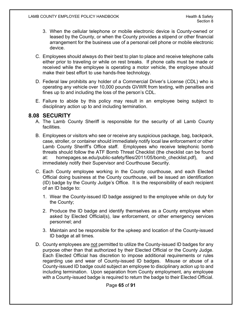- 3. When the cellular telephone or mobile electronic device is County-owned or leased by the County, or when the County provides a stipend or other financial arrangement for the business use of a personal cell phone or mobile electronic device.
- C. Employees should always do their best to plan to place and receive telephone calls either prior to traveling or while on rest breaks. If phone calls must be made or received while the employee is operating a motor vehicle, the employee should make their best effort to use hands-free technology.
- D. Federal law prohibits any holder of a Commercial Driver's License (CDL) who is operating any vehicle over 10,000 pounds GVWR from texting, with penalties and fines up to and including the loss of the person's CDL.
- E. Failure to abide by this policy may result in an employee being subject to disciplinary action up to and including termination.

# **8.08 SECURITY**

- A. The Lamb County Sheriff is responsible for the security of all Lamb County facilities.
- B. Employees or visitors who see or receive any suspicious package, bag, backpack, case, stroller, or container should immediately notify local law enforcement or other Lamb County Sheriff's Office staff. Employees who receive telephonic bomb threats should follow the ATF Bomb Threat Checklist (the checklist can be found at: homepages.se.edu/public-safety/files/2011/05/bomb\_checklist.pdf), and immediately notify their Supervisor and Courthouse Security.
- C. Each County employee working in the County courthouse, and each Elected Official doing business at the County courthouse, will be issued an identification (ID) badge by the County Judge's Office. It is the responsibility of each recipient of an ID badge to:
	- 1. Wear the County-issued ID badge assigned to the employee while on duty for the County;
	- 2. Produce the ID badge and identify themselves as a County employee when asked by Elected Official(s), law enforcement, or other emergency services personnel; and
	- 3. Maintain and be responsible for the upkeep and location of the County-issued ID badge at all times.
- D. County employees are not permitted to utilize the County-issued ID badges for any purpose other than that authorized by their Elected Official or the County Judge. Each Elected Official has discretion to impose additional requirements or rules regarding use and wear of County-issued ID badges. Misuse or abuse of a County-issued ID badge could subject an employee to disciplinary action up to and including termination. Upon separation from County employment, any employee with a County-issued badge is required to return the badge to their Elected Official.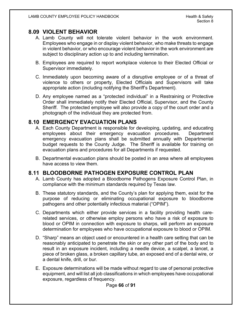# **8.09 VIOLENT BEHAVIOR**

- A. Lamb County will not tolerate violent behavior in the work environment. Employees who engage in or display violent behavior, who make threats to engage in violent behavior, or who encourage violent behavior in the work environment are subject to disciplinary action up to and including termination.
- B. Employees are required to report workplace violence to their Elected Official or Supervisor immediately.
- C. Immediately upon becoming aware of a disruptive employee or of a threat of violence to others or property, Elected Officials and Supervisors will take appropriate action (including notifying the Sheriff's Department).
- D. Any employee named as a "protected individual" in a Restraining or Protective Order shall immediately notify their Elected Official, Supervisor, and the County Sheriff. The protected employee will also provide a copy of the court order and a photograph of the individual they are protected from.

## **8.10 EMERGENCY EVACUATION PLANS**

- A. Each County Department is responsible for developing, updating, and educating employees about their emergency evacuation procedures. Department emergency evacuation plans shall be submitted annually with Departmental budget requests to the County Judge. The Sheriff is available for training on evacuation plans and procedures for all Departments if requested.
- B. Departmental evacuation plans should be posted in an area where all employees have access to view them.

# **8.11 BLOODBORNE PATHOGEN EXPOSURE CONTROL PLAN**

- A. Lamb County has adopted a Bloodborne Pathogens Exposure Control Plan, in compliance with the minimum standards required by Texas law.
- B. These statutory standards, and the County's plan for applying them, exist for the purpose of reducing or eliminating occupational exposure to bloodborne pathogens and other potentially infectious material ("OPIM").
- C. Departments which either provide services in a facility providing health carerelated services, or otherwise employ persons who have a risk of exposure to blood or OPIM in connection with exposure to sharps, will perform an exposure determination for employees who have occupational exposure to blood or OPIM.
- D. "Sharp" means an object used or encountered in a health care setting that can be reasonably anticipated to penetrate the skin or any other part of the body and to result in an exposure incident, including a needle device, a scalpel, a lancet, a piece of broken glass, a broken capillary tube, an exposed end of a dental wire, or a dental knife, drill, or bur.
- E. Exposure determinations will be made without regard to use of personal protective equipment, and will list all job classifications in which employees have occupational exposure, regardless of frequency.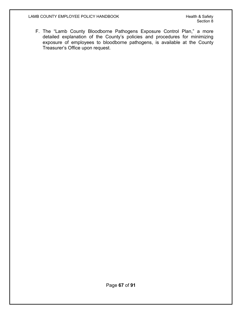F. The "Lamb County Bloodborne Pathogens Exposure Control Plan," a more detailed explanation of the County's policies and procedures for minimizing exposure of employees to bloodborne pathogens, is available at the County Treasurer's Office upon request.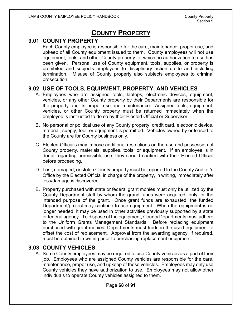# **COUNTY PROPERTY**

# **9.01 COUNTY PROPERTY**

Each County employee is responsible for the care, maintenance, proper use, and upkeep of all County equipment issued to them. County employees will not use equipment, tools, and other County property for which no authorization to use has been given. Personal use of County equipment, tools, supplies, or property is prohibited and subjects employees to disciplinary action up to and including termination. Misuse of County property also subjects employees to criminal prosecution.

## **9.02 USE OF TOOLS, EQUIPMENT, PROPERTY, AND VEHICLES**

- A. Employees who are assigned tools, laptops, electronic devices, equipment, vehicles, or any other County property by their Departments are responsible for the property and its proper use and maintenance. Assigned tools, equipment, vehicles, or other County property must be returned immediately when the employee is instructed to do so by their Elected Official or Supervisor.
- B. No personal or political use of any County property, credit card, electronic device, material, supply, tool, or equipment is permitted. Vehicles owned by or leased to the County are for County business only.
- C. Elected Officials may impose additional restrictions on the use and possession of County property, materials, supplies, tools, or equipment. If an employee is in doubt regarding permissible use, they should confirm with their Elected Official before proceeding.
- D. Lost, damaged, or stolen County property must be reported to the County Auditor's Office by the Elected Official in charge of the property, in writing, immediately after loss/damage is discovered.
- E. Property purchased with state or federal grant monies must only be utilized by the County Department staff by whom the grand funds were acquired, only for the intended purpose of the grant. Once grant funds are exhausted, the funded Department/project may continue to use equipment. When the equipment is no longer needed, it may be used in other activities previously supported by a state or federal agency. To dispose of the equipment, County Departments must adhere to the Uniform Grants Management Standards. Before replacing equipment purchased with grant monies, Departments must trade in the used equipment to offset the cost of replacement. Approval from the awarding agency, if required, must be obtained in writing prior to purchasing replacement equipment.

## **9.03 COUNTY VEHICLES**

A. Some County employees may be required to use County vehicles as a part of their job. Employees who are assigned County vehicles are responsible for the care, maintenance, proper use, and upkeep of these vehicles. Employees may only use County vehicles they have authorization to use. Employees may not allow other individuals to operate County vehicles assigned to them.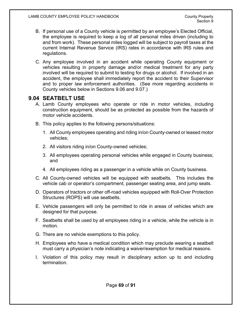- B. If personal use of a County vehicle is permitted by an employee's Elected Official, the employee is required to keep a log of all personal miles driven (including to and from work). These personal miles logged will be subject to payroll taxes at the current Internal Revenue Service (IRS) rates in accordance with IRS rules and regulations.
- C. Any employee involved in an accident while operating County equipment or vehicles resulting in property damage and/or medical treatment for any party involved will be required to submit to testing for drugs or alcohol. If involved in an accident, the employee shall immediately report the accident to their Supervisor and to proper law enforcement authorities. (See more regarding accidents in County vehicles below in Sections 9.06 and 9.07.)

# **9.04 SEATBELT USE**

- A. Lamb County employees who operate or ride in motor vehicles, including construction equipment, should be as protected as possible from the hazards of motor vehicle accidents.
- B. This policy applies to the following persons/situations:
	- 1. All County employees operating and riding in/on County-owned or leased motor vehicles;
	- 2. All visitors riding in/on County-owned vehicles;
	- 3. All employees operating personal vehicles while engaged in County business; and
	- 4. All employees riding as a passenger in a vehicle while on County business.
- C. All County-owned vehicles will be equipped with seatbelts. This includes the vehicle cab or operator's compartment, passenger seating area, and jump seats.
- D. Operators of tractors or other off-road vehicles equipped with Roll-Over Protection Structures (ROPS) will use seatbelts.
- E. Vehicle passengers will only be permitted to ride in areas of vehicles which are designed for that purpose.
- F. Seatbelts shall be used by all employees riding in a vehicle, while the vehicle is in motion.
- G. There are no vehicle exemptions to this policy.
- H. Employees who have a medical condition which may preclude wearing a seatbelt must carry a physician's note indicating a waiver/exemption for medical reasons.
- I. Violation of this policy may result in disciplinary action up to and including termination.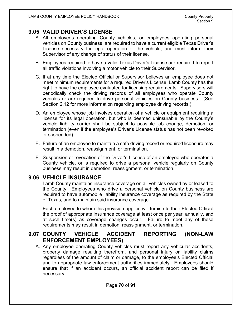# **9.05 VALID DRIVER'S LICENSE**

- A. All employees operating County vehicles, or employees operating personal vehicles on County business, are required to have a current eligible Texas Driver's License necessary for legal operation of the vehicle, and must inform their Supervisor of any change of status of their license.
- B. Employees required to have a valid Texas Driver's License are required to report all traffic violations involving a motor vehicle to their Supervisor.
- C. If at any time the Elected Official or Supervisor believes an employee does not meet minimum requirements for a required Driver's License, Lamb County has the right to have the employee evaluated for licensing requirements. Supervisors will periodically check the driving records of all employees who operate County vehicles or are required to drive personal vehicles on County business. (See Section 2.12 for more information regarding employee driving records.)
- D. An employee whose job involves operation of a vehicle or equipment requiring a license for its legal operation, but who is deemed uninsurable by the County's vehicle liability carrier shall be subject to possible job change, demotion, or termination (even if the employee's Driver's License status has not been revoked or suspended).
- E. Failure of an employee to maintain a safe driving record or required licensure may result in a demotion, reassignment, or termination.
- F. Suspension or revocation of the Driver's License of an employee who operates a County vehicle, or is required to drive a personal vehicle regularly on County business may result in demotion, reassignment, or termination.

## **9.06 VEHICLE INSURANCE**

Lamb County maintains insurance coverage on all vehicles owned by or leased to the County. Employees who drive a personal vehicle on County business are required to have automobile liability insurance coverage as required by the State of Texas, and to maintain said insurance coverage.

Each employee to whom this provision applies will furnish to their Elected Official the proof of appropriate insurance coverage at least once per year, annually, and at such time(s) as coverage changes occur. Failure to meet any of these requirements may result in demotion, reassignment, or termination.

# **9.07 COUNTY VEHICLE ACCIDENT REPORTING (NON-LAW ENFORCEMENT EMPLOYEES)**

A. Any employee operating County vehicles must report any vehicular accidents, property damage resulting therefrom, and personal injury or liability claims regardless of the amount of claim or damage, to the employee's Elected Official and to appropriate law enforcement authorities immediately. Employees should ensure that if an accident occurs, an official accident report can be filed if necessary.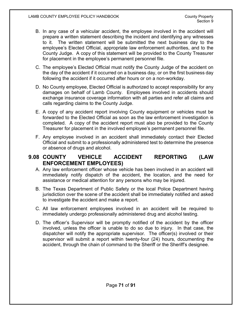- B. In any case of a vehicular accident, the employee involved in the accident will prepare a written statement describing the incident and identifying any witnesses to it. The written statement will be submitted the next business day to the employee's Elected Official, appropriate law enforcement authorities, and to the County Judge. A copy of this statement will be provided to the County Treasurer for placement in the employee's permanent personnel file.
- C. The employee's Elected Official must notify the County Judge of the accident on the day of the accident if it occurred on a business day, or on the first business day following the accident if it occurred after hours or on a non-workday.
- D. No County employee, Elected Official is authorized to accept responsibility for any damages on behalf of Lamb County. Employees involved in accidents should exchange insurance coverage information with all parties and refer all claims and calls regarding claims to the County Judge.
- E. A copy of any accident report involving County equipment or vehicles must be forwarded to the Elected Official as soon as the law enforcement investigation is completed. A copy of the accident report must also be provided to the County Treasurer for placement in the involved employee's permanent personnel file.
- F. Any employee involved in an accident shall immediately contact their Elected Official and submit to a professionally administered test to determine the presence or absence of drugs and alcohol.

## **9.08 COUNTY VEHICLE ACCIDENT REPORTING (LAW ENFORCEMENT EMPLOYEES)**

- A. Any law enforcement officer whose vehicle has been involved in an accident will immediately notify dispatch of the accident, the location, and the need for assistance or medical attention for any persons who may be injured.
- B. The Texas Department of Public Safety or the local Police Department having jurisdiction over the scene of the accident shall be immediately notified and asked to investigate the accident and make a report.
- C. All law enforcement employees involved in an accident will be required to immediately undergo professionally administered drug and alcohol testing.
- D. The officer's Supervisor will be promptly notified of the accident by the officer involved, unless the officer is unable to do so due to injury. In that case, the dispatcher will notify the appropriate supervisor. The officer(s) involved or their supervisor will submit a report within twenty-four (24) hours, documenting the accident, through the chain of command to the Sheriff or the Sheriff's designee.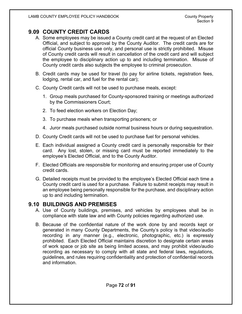# **9.09 COUNTY CREDIT CARDS**

- A. Some employees may be issued a County credit card at the request of an Elected Official, and subject to approval by the County Auditor. The credit cards are for official County business use only, and personal use is strictly prohibited. Misuse of County credit cards will result in cancellation of the credit card and will subject the employee to disciplinary action up to and including termination. Misuse of County credit cards also subjects the employee to criminal prosecution.
- B. Credit cards may be used for travel (to pay for airline tickets, registration fees, lodging, rental car, and fuel for the rental car);
- C. County Credit cards will not be used to purchase meals, except:
	- 1. Group meals purchased for County-sponsored training or meetings authorized by the Commissioners Court;
	- 2. To feed election workers on Election Day;
	- 3. To purchase meals when transporting prisoners; or
	- 4. Juror meals purchased outside normal business hours or during sequestration.
- D. County Credit cards will not be used to purchase fuel for personal vehicles.
- E. Each individual assigned a County credit card is personally responsible for their card. Any lost, stolen, or missing card must be reported immediately to the employee's Elected Official, and to the County Auditor.
- F. Elected Officials are responsible for monitoring and ensuring proper use of County credit cards.
- G. Detailed receipts must be provided to the employee's Elected Official each time a County credit card is used for a purchase. Failure to submit receipts may result in an employee being personally responsible for the purchase, and disciplinary action up to and including termination.

### **9.10 BUILDINGS AND PREMISES**

- A. Use of County buildings, premises, and vehicles by employees shall be in compliance with state law and with County policies regarding authorized use.
- B. Because of the confidential nature of the work done by and records kept or generated in many County Departments, the County's policy is that video/audio recording in any manner (e.g., electronic, photographic, etc.) is expressly prohibited. Each Elected Official maintains discretion to designate certain areas of work space or job site as being limited access, and may prohibit video/audio recording as necessary to comply with all state and federal laws, regulations, guidelines, and rules requiring confidentiality and protection of confidential records and information.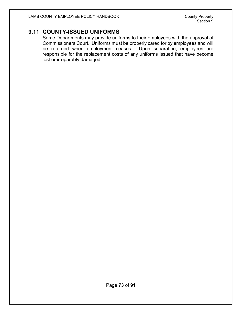# **9.11 COUNTY-ISSUED UNIFORMS**

Some Departments may provide uniforms to their employees with the approval of Commissioners Court. Uniforms must be properly cared for by employees and will be returned when employment ceases. Upon separation, employees are responsible for the replacement costs of any uniforms issued that have become lost or irreparably damaged.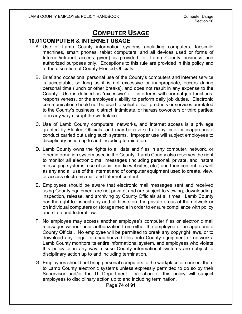# **COMPUTER USAGE**

### **10.01COMPUTER & INTERNET USAGE**

- A. Use of Lamb County information systems (including computers, facsimile machines, smart phones, tablet computers, and all devices used or forms of Internet/intranet access given) is provided for Lamb County business and authorized purposes only. Exceptions to this rule are provided in this policy and at the discretion of County Elected Officials.
- B. Brief and occasional personal use of the County's computers and internet service is acceptable, so long as it is not excessive or inappropriate, occurs during personal time (lunch or other breaks), and does not result in any expense to the County. Use is defined as "excessive" if it interferes with normal job functions, responsiveness, or the employee's ability to perform daily job duties. Electronic communication should not be used to solicit or sell products or services unrelated to the County's business; distract, intimidate, or harass coworkers or third parties; or in any way disrupt the workplace.
- C. Use of Lamb County computers, networks, and Internet access is a privilege granted by Elected Officials, and may be revoked at any time for inappropriate conduct carried out using such systems. Improper use will subject employees to disciplinary action up to and including termination.
- D. Lamb County owns the rights to all data and files in any computer, network, or other information system used in the County. Lamb County also reserves the right to monitor all electronic mail messages (including personal, private, and instant messaging systems; use of social media websites, etc.) and their content, as well as any and all use of the Internet and of computer equipment used to create, view, or access electronic mail and Internet content.
- E. Employees should be aware that electronic mail messages sent and received using County equipment are not private, and are subject to viewing, downloading, inspection, release, and archiving by County Officials at all times. Lamb County has the right to inspect any and all files stored in private areas of the network or on individual computers or storage media in order to ensure compliance with policy and state and federal law.
- F. No employee may access another employee's computer files or electronic mail messages without prior authorization from either the employee or an appropriate County Official. No employee will be permitted to break any copyright laws, or to download any illegal or unauthorized files onto County equipment or networks. Lamb County monitors its entire informational system, and employees who violate this policy or in any way misuse County informational systems are subject to disciplinary action up to and including termination.
- G. Employees should not bring personal computers to the workplace or connect them to Lamb County electronic systems unless expressly permitted to do so by their Supervisor and/or the IT Department. Violation of this policy will subject employees to disciplinary action up to and including termination.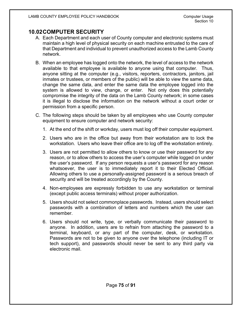# **10.02COMPUTER SECURITY**

- A. Each Department and each user of County computer and electronic systems must maintain a high level of physical security on each machine entrusted to the care of that Department and individual to prevent unauthorized access to the Lamb County network.
- B. When an employee has logged onto the network, the level of access to the network available to that employee is available to anyone using that computer. Thus, anyone sitting at the computer (e.g., visitors, reporters, contractors, janitors, jail inmates or trustees, or members of the public) will be able to view the same data, change the same data, and enter the same data the employee logged into the system is allowed to view, change, or enter. Not only does this potentially compromise the integrity of the data on the Lamb County network; in some cases it is illegal to disclose the information on the network without a court order or permission from a specific person.
- C. The following steps should be taken by all employees who use County computer equipment to ensure computer and network security:
	- 1. At the end of the shift or workday, users must log off their computer equipment.
	- 2. Users who are in the office but away from their workstation are to lock the workstation. Users who leave their office are to log off the workstation entirely.
	- 3. Users are not permitted to allow others to know or use their password for any reason, or to allow others to access the user's computer while logged on under the user's password. If any person requests a user's password for any reason whatsoever, the user is to immediately report it to their Elected Official. Allowing others to use a personally-assigned password is a serious breach of security and will be treated accordingly by the County.
	- 4. Non-employees are expressly forbidden to use any workstation or terminal (except public access terminals) without proper authorization.
	- 5. Users should not select commonplace passwords. Instead, users should select passwords with a combination of letters and numbers which the user can remember.
	- 6. Users should not write, type, or verbally communicate their password to anyone. In addition, users are to refrain from attaching the password to a terminal, keyboard, or any part of the computer, desk, or workstation. Passwords are not to be given to anyone over the telephone (including IT or tech support), and passwords should never be sent to any third party via electronic mail.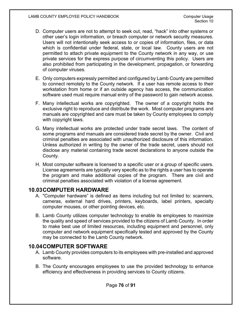- D. Computer users are not to attempt to seek out, read, "hack" into other systems or other user's login information, or breach computer or network security measures. Users will not intentionally seek access to or copies of information, files, or data which is confidential under federal, state, or local law. County users are not permitted to attach private equipment to the County network in any way, or use private services for the express purpose of circumventing this policy. Users are also prohibited from participating in the development, propagation, or forwarding of computer viruses.
- E. Only computers expressly permitted and configured by Lamb County are permitted to connect remotely to the County network. If a user has remote access to their workstation from home or if an outside agency has access, the communication software used must require manual entry of the password to gain network access.
- F. Many intellectual works are copyrighted. The owner of a copyright holds the exclusive right to reproduce and distribute the work. Most computer programs and manuals are copyrighted and care must be taken by County employees to comply with copyright laws.
- G. Many intellectual works are protected under trade secret laws. The content of some programs and manuals are considered trade secret by the owner. Civil and criminal penalties are associated with unauthorized disclosure of this information. Unless authorized in writing by the owner of the trade secret, users should not disclose any material containing trade secret declarations to anyone outside the County.
- H. Most computer software is licensed to a specific user or a group of specific users. License agreements are typically very specific as to the rights a user has to operate the program and make additional copies of the program. There are civil and criminal penalties associated with violation of a license agreement.

### **10.03COMPUTER HARDWARE**

- A. "Computer hardware" is defined as items including but not limited to: scanners, cameras, external hard drives, printers, keyboards, label printers, specialty computer mouses, or other pointing devices, etc.
- B. Lamb County utilizes computer technology to enable its employees to maximize the quality and speed of services provided to the citizens of Lamb County. In order to make best use of limited resources, including equipment and personnel, only computer and network equipment specifically tested and approved by the County may be connected to the Lamb County network.

# **10.04COMPUTER SOFTWARE**

- A. Lamb County provides computers to its employees with pre-installed and approved software.
- B. The County encourages employees to use the provided technology to enhance efficiency and effectiveness in providing services to County citizens.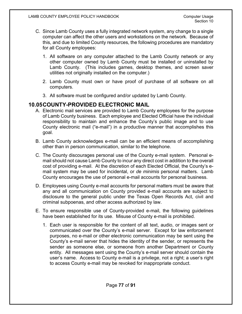- C. Since Lamb County uses a fully integrated network system, any change to a single computer can affect the other users and workstations on the network. Because of this, and due to limited County resources, the following procedures are mandatory for all County employees:
	- 1. All software on any computer attached to the Lamb County network or any other computer owned by Lamb County must be installed or uninstalled by Lamb County. (This includes games, desktop themes, and screen saver utilities not originally installed on the computer.)
	- 2. Lamb County must own or have proof of purchase of all software on all computers.
	- 3. All software must be configured and/or updated by Lamb County.

# **10.05COUNTY-PROVIDED ELECTRONIC MAIL**

- A. Electronic mail services are provided to Lamb County employees for the purpose of Lamb County business. Each employee and Elected Official have the individual responsibility to maintain and enhance the County's public image and to use County electronic mail ("e-mail") in a productive manner that accomplishes this goal.
- B. Lamb County acknowledges e-mail can be an efficient means of accomplishing other than in person communication, similar to the telephone.
- C. The County discourages personal use of the County e-mail system. Personal email should not cause Lamb County to incur any direct cost in addition to the overall cost of providing e-mail. At the discretion of each Elected Official, the County's email system may be used for incidental, or *de minimis* personal matters. Lamb County encourages the use of personal e-mail accounts for personal business.
- D. Employees using County e-mail accounts for personal matters must be aware that any and all communication on County provided e-mail accounts are subject to disclosure to the general public under the Texas Open Records Act, civil and criminal subpoenas, and other access authorized by law.
- E. To ensure responsible use of County-provided e-mail, the following guidelines have been established for its use. Misuse of County e-mail is prohibited.
	- 1. Each user is responsible for the content of all text, audio, or images sent or communicated over the County's e-mail server. Except for law enforcement purposes, no e-mail or other electronic communication may be sent using the County's e-mail server that hides the identity of the sender, or represents the sender as someone else, or someone from another Department or County entity. All messages sent using the County's e-mail server should contain the user's name. Access to County e-mail is a privilege, not a right; a user's right to access County e-mail may be revoked for inappropriate conduct.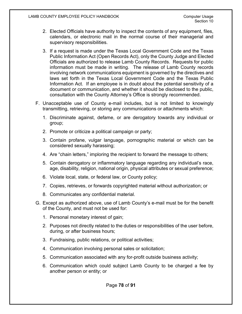- 2. Elected Officials have authority to inspect the contents of any equipment, files, calendars, or electronic mail in the normal course of their managerial and supervisory responsibilities.
- 3. If a request is made under the Texas Local Government Code and the Texas Public Information Act (Open Records Act), only the County Judge and Elected Officials are authorized to release Lamb County Records. Requests for public information must be made in writing. The release of Lamb County records involving network communications equipment is governed by the directives and laws set forth in the Texas Local Government Code and the Texas Public Information Act. If an employee is in doubt about the potential sensitivity of a document or communication, and whether it should be disclosed to the public, consultation with the County Attorney's Office is strongly recommended.
- F. Unacceptable use of County e-mail includes, but is not limited to knowingly transmitting, retrieving, or storing any communications or attachments which:
	- 1. Discriminate against, defame, or are derogatory towards any individual or group;
	- 2. Promote or criticize a political campaign or party;
	- 3. Contain profane, vulgar language, pornographic material or which can be considered sexually harassing;
	- 4. Are "chain letters," imploring the recipient to forward the message to others;
	- 5. Contain derogatory or inflammatory language regarding any individual's race, age, disability, religion, national origin, physical attributes or sexual preference;
	- 6. Violate local, state, or federal law, or County policy;
	- 7. Copies, retrieves, or forwards copyrighted material without authorization; or
	- 8. Communicates any confidential material.
- G. Except as authorized above, use of Lamb County's e-mail must be for the benefit of the County, and must not be used for:
	- 1. Personal monetary interest of gain;
	- 2. Purposes not directly related to the duties or responsibilities of the user before, during, or after business hours;
	- 3. Fundraising, public relations, or political activities;
	- 4. Communication involving personal sales or solicitation;
	- 5. Communication associated with any for-profit outside business activity;
	- 6. Communication which could subject Lamb County to be charged a fee by another person or entity; or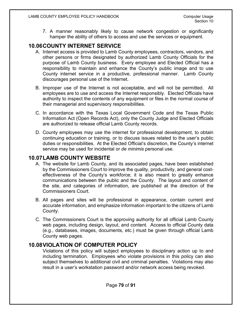7. A manner reasonably likely to cause network congestion or significantly hamper the ability of others to access and use the services or equipment.

# **10.06COUNTY INTERNET SERVICE**

- A. Internet access is provided to Lamb County employees, contractors, vendors, and other persons or firms designated by authorized Lamb County Officials for the purpose of Lamb County business. Every employee and Elected Official has a responsibility to maintain and enhance the County's public image and to use County internet service in a productive, professional manner. Lamb County discourages personal use of the Internet.
- B. Improper use of the Internet is not acceptable, and will not be permitted. All employees are to use and access the Internet responsibly. Elected Officials have authority to inspect the contents of any equipment or files in the normal course of their managerial and supervisory responsibilities.
- C. In accordance with the Texas Local Government Code and the Texas Public Information Act (Open Records Act), only the County Judge and Elected Officials are authorized to release official Lamb County records.
- D. County employees may use the internet for professional development, to obtain continuing education or training, or to discuss issues related to the user's public duties or responsibilities. At the Elected Official's discretion, the County's internet service may be used for incidental or *de minimis* personal use.

# **10.07LAMB COUNTY WEBSITE**

- A. The website for Lamb County, and its associated pages, have been established by the Commissioners Court to improve the quality, productivity, and general costeffectiveness of the County's workforce; it is also meant to greatly enhance communications between the public and the County. The layout and content of the site, and categories of information, are published at the direction of the Commissioners Court.
- B. All pages and sites will be professional in appearance, contain current and accurate information, and emphasize information important to the citizens of Lamb County.
- C. The Commissioners Court is the approving authority for all official Lamb County web pages, including design, layout, and content. Access to official County data (e.g., databases, images, documents, etc.) must be given through official Lamb County web pages.

# **10.08VIOLATION OF COMPUTER POLICY**

Violations of this policy will subject employees to disciplinary action up to and including termination. Employees who violate provisions in this policy can also subject themselves to additional civil and criminal penalties. Violations may also result in a user's workstation password and/or network access being revoked.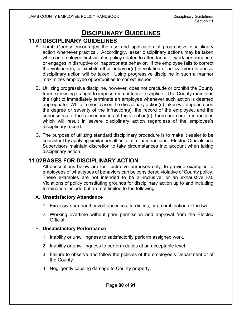# **DISCIPLINARY GUIDELINES**

# **11.01DISCIPLINARY GUIDELINES**

- A. Lamb County encourages the use and application of progressive disciplinary action whenever practical. Accordingly, lesser disciplinary actions may be taken when an employee first violates policy related to attendance or work performance, or engages in disruptive or inappropriate behavior. If the employee fails to correct the violation(s), or exhibits other behavior(s) in violation of policy, more intensive disciplinary action will be taken. Using progressive discipline in such a manner maximizes employee opportunities to correct issues.
- B. Utilizing progressive discipline, however, does not preclude or prohibit the County from exercising its right to impose more intense discipline. The County maintains the right to immediately terminate an employee whenever such action is deemed appropriate. While in most cases the disciplinary action(s) taken will depend upon the degree or severity of the infraction(s), the record of the employee, and the seriousness of the consequences of the violation(s), there are certain infractions which will result in severe disciplinary action regardless of the employee's disciplinary record.
- C. The purpose of utilizing standard disciplinary procedure is to make it easier to be consistent by applying similar penalties for similar infractions. Elected Officials and Supervisors maintain discretion to take circumstances into account when taking disciplinary action.

### **11.02BASES FOR DISCIPLINARY ACTION**

All descriptions below are for illustrative purposes only, to provide examples to employees of what types of behaviors can be considered violative of County policy. These examples are not intended to be all-inclusive, or an exhaustive list. Violations of policy constituting grounds for disciplinary action up to and including termination include but are not limited to the following:

#### A. **Unsatisfactory Attendance**

- 1. Excessive or unauthorized absences, tardiness, or a combination of the two.
- 2. Working overtime without prior permission and approval from the Elected Official.

#### B. **Unsatisfactory Performance**

- 1. Inability or unwillingness to satisfactorily perform assigned work.
- 2. Inability or unwillingness to perform duties at an acceptable level.
- 3. Failure to observe and follow the policies of the employee's Department or of the County.
- 4. Negligently causing damage to County property.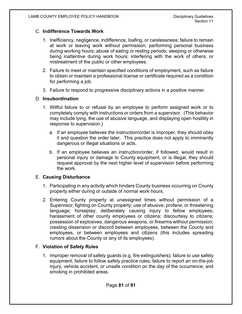#### C. **Indifference Towards Work**

- 1. Inefficiency, negligence, indifference, loafing, or carelessness; failure to remain at work or leaving work without permission; performing personal business during working hours; abuse of eating or resting periods; sleeping or otherwise being inattentive during work hours; interfering with the work of others; or mistreatment of the public or other employees.
- 2. Failure to meet or maintain specified conditions of employment, such as failure to obtain or maintain a professional license or certificate required as a condition for performing a job.
- 3. Failure to respond to progressive disciplinary actions in a positive manner.

#### D. **Insubordination**

- 1. Willful failure to or refusal by an employee to perform assigned work or to completely comply with instructions or orders from a supervisor. (This behavior may include lying, the use of abusive language, and displaying open hostility in response to supervision.)
	- a. If an employee believes the instruction/order is improper, they should obey it and question the order later. This practice does not apply to imminently dangerous or illegal situations or acts.
	- b. If an employee believes an instruction/order, if followed, would result in personal injury or damage to County equipment, or is illegal, they should request approval by the next higher level of supervision before performing the work.

#### E. **Causing Disturbance**

- 1. Participating in any activity which hinders County business occurring on County property either during or outside of normal work hours.
- 2. Entering County property at unassigned times without permission of a Supervisor; fighting on County property; use of abusive, profane, or threatening language; horseplay; deliberately causing injury to fellow employees; harassment of other county employees or citizens; discourtesy to citizens; possession of explosives, dangerous weapons, or firearms without permission; creating dissension or discord between employees, between the County and employees, or between employees and citizens (this includes spreading rumors about the County or any of its employees).

#### F. **Violation of Safety Rules**

1. Improper removal of safety guards (e.g. fire extinguishers); failure to use safety equipment; failure to follow safety practice rules; failure to report an on-the-job injury, vehicle accident, or unsafe condition on the day of the occurrence; and smoking in prohibited areas.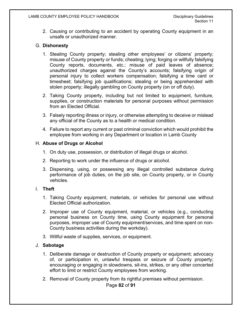2. Causing or contributing to an accident by operating County equipment in an unsafe or unauthorized manner.

### G. **Dishonesty**

- 1. Stealing County property; stealing other employees' or citizens' property; misuse of County property or funds; cheating; lying; forging or willfully falsifying County reports, documents, etc.; misuse of paid leaves of absence; unauthorized charges against the County's accounts; falsifying origin of personal injury to collect workers compensation; falsifying a time card or timesheet; falsifying job qualifications; stealing or being apprehended with stolen property; illegally gambling on County property (on or off duty).
- 2. Taking County property, including but not limited to equipment, furniture, supplies, or construction materials for personal purposes without permission from an Elected Official.
- 3. Falsely reporting illness or injury, or otherwise attempting to deceive or mislead any official of the County as to a health or medical condition.
- 4. Failure to report any current or past criminal conviction which would prohibit the employee from working in any Department or location in Lamb County

### H. **Abuse of Drugs or Alcohol**

- 1. On duty use, possession, or distribution of illegal drugs or alcohol.
- 2. Reporting to work under the influence of drugs or alcohol.
- 3. Dispensing, using, or possessing any illegal controlled substance during performance of job duties, on the job site, on County property, or in County vehicles.

#### I. **Theft**

- 1. Taking County equipment, materials, or vehicles for personal use without Elected Official authorization.
- 2. Improper use of County equipment, material, or vehicles (e.g., conducting personal business on County time, using County equipment for personal purposes, improper use of County equipment/services, and time spent on non-County business activities during the workday).
- 3. Willful waste of supplies, services, or equipment.

#### J. **Sabotage**

- 1. Deliberate damage or destruction of County property or equipment; advocacy of, or participation in, unlawful trespass or seizure of County property; encouraging or engaging in slowdowns, sit-ins, strikes, or any other concerted effort to limit or restrict County employees from working.
- 2. Removal of County property from its rightful premises without permission.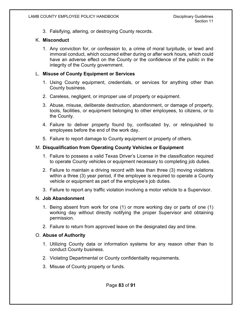3. Falsifying, altering, or destroying County records.

#### K. **Misconduct**

1. Any conviction for, or confession to, a crime of moral turpitude, or lewd and immoral conduct, which occurred either during or after work hours, which could have an adverse effect on the County or the confidence of the public in the integrity of the County government.

#### L. **Misuse of County Equipment or Services**

- 1. Using County equipment, credentials, or services for anything other than County business.
- 2. Careless, negligent, or improper use of property or equipment.
- 3. Abuse, misuse, deliberate destruction, abandonment, or damage of property, tools, facilities, or equipment belonging to other employees, to citizens, or to the County.
- 4. Failure to deliver property found by, confiscated by, or relinquished to employees before the end of the work day.
- 5. Failure to report damage to County equipment or property of others.

#### M. **Disqualification from Operating County Vehicles or Equipment**

- 1. Failure to possess a valid Texas Driver's License in the classification required to operate County vehicles or equipment necessary to completing job duties.
- 2. Failure to maintain a driving record with less than three (3) moving violations within a three (3) year period, if the employee is required to operate a County vehicle or equipment as part of the employee's job duties.
- 3. Failure to report any traffic violation involving a motor vehicle to a Supervisor.

#### N. **Job Abandonment**

- 1. Being absent from work for one (1) or more working day or parts of one (1) working day without directly notifying the proper Supervisor and obtaining permission.
- 2. Failure to return from approved leave on the designated day and time.

#### O. **Abuse of Authority**

- 1. Utilizing County data or information systems for any reason other than to conduct County business.
- 2. Violating Departmental or County confidentiality requirements.
- 3. Misuse of County property or funds.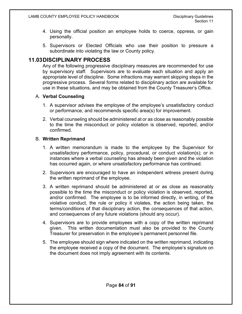- 4. Using the official position an employee holds to coerce, oppress, or gain personally.
- 5. Supervisors or Elected Officials who use their position to pressure a subordinate into violating the law or County policy.

### **11.03DISCIPLINARY PROCESS**

Any of the following progressive disciplinary measures are recommended for use by supervisory staff. Supervisors are to evaluate each situation and apply an appropriate level of discipline. Some infractions may warrant skipping steps in the progressive process. Several forms related to disciplinary action are available for use in these situations, and may be obtained from the County Treasurer's Office.

### A. **Verbal Counseling**

- 1. A supervisor advises the employee of the employee's unsatisfactory conduct or performance, and recommends specific area(s) for improvement.
- 2. Verbal counseling should be administered at or as close as reasonably possible to the time the misconduct or policy violation is observed, reported, and/or confirmed.

#### B. **Written Reprimand**

- 1. A written memorandum is made to the employee by the Supervisor for unsatisfactory performance, policy, procedural, or conduct violation(s); or in instances where a verbal counseling has already been given and the violation has occurred again, or where unsatisfactory performance has continued.
- 2. Supervisors are encouraged to have an independent witness present during the written reprimand of the employee.
- 3. A written reprimand should be administered at or as close as reasonably possible to the time the misconduct or policy violation is observed, reported, and/or confirmed. The employee is to be informed directly, in writing, of the violative conduct, the rule or policy it violates, the action being taken, the terms/conditions of that disciplinary action, the consequences of that action, and consequences of any future violations (should any occur).
- 4. Supervisors are to provide employees with a copy of the written reprimand given. This written documentation must also be provided to the County Treasurer for preservation in the employee's permanent personnel file.
- 5. The employee should sign where indicated on the written reprimand, indicating the employee received a copy of the document. The employee's signature on the document does not imply agreement with its contents.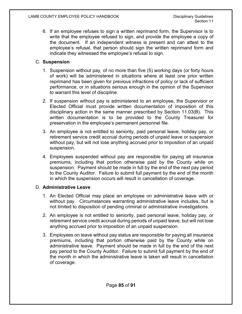6. If an employee refuses to sign a written reprimand form, the Supervisor is to write that the employee refused to sign, and provide the employee a copy of the document. If an independent witness is present and can attest to the employee's refusal, that person should sign the written reprimand form and indicate they witnessed the employee's refusal to sign.

### C. **Suspension**

- 1. Suspension without pay, of no more than five (5) working days (or forty hours of work) will be administered in situations where at least one prior written reprimand has been given for previous infractions of policy or lack of sufficient performance, or in situations serious enough in the opinion of the Supervisor to warrant this level of discipline.
- 2. If suspension without pay is administered to an employee, the Supervisor or Elected Official must provide written documentation of imposition of this disciplinary action in the same manner prescribed by Section 11.03(B). This written documentation is to be provided to the County Treasurer for preservation in the employee's permanent personnel file.
- 3. An employee is not entitled to seniority, paid personal leave, holiday pay, or retirement service credit accrual during periods of unpaid leave or suspension without pay, but will not lose anything accrued prior to imposition of an unpaid suspension.
- 4. Employees suspended without pay are responsible for paying all insurance premiums, including that portion otherwise paid by the County while on suspension. Payment should be made in full by the end of the next pay period to the County Auditor. Failure to submit full payment by the end of the month in which the suspension occurs will result in cancellation of coverage.

### D. **Administrative Leave**

- 1. An Elected Official may place an employee on administrative leave with or without pay. Circumstances warranting administrative leave includes, but is not limited to disposition of pending criminal or administrative investigations.
- 2. An employee is not entitled to seniority, paid personal leave, holiday pay, or retirement service credit accrual during periods of unpaid leave, but will not lose anything accrued prior to imposition of an unpaid suspension.
- 3. Employees on leave without pay status are responsible for paying all insurance premiums, including that portion otherwise paid by the County while on administrative leave. Payment should be made in full by the end of the next pay period to the County Auditor. Failure to submit full payment by the end of the month in which the administrative leave is taken will result in cancellation of coverage.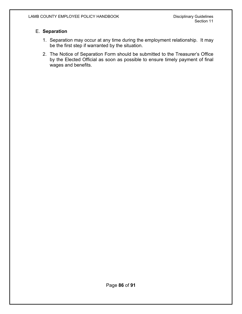### E. **Separation**

- 1. Separation may occur at any time during the employment relationship. It may be the first step if warranted by the situation.
- 2. The Notice of Separation Form should be submitted to the Treasurer's Office by the Elected Official as soon as possible to ensure timely payment of final wages and benefits.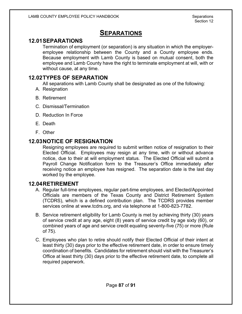# **SEPARATIONS**

# **12.01SEPARATIONS**

Termination of employment (or separation) is any situation in which the employeremployee relationship between the County and a County employee ends. Because employment with Lamb County is based on mutual consent, both the employee and Lamb County have the right to terminate employment at will, with or without cause, at any time.

### **12.02TYPES OF SEPARATION**

All separations with Lamb County shall be designated as one of the following:

- A. Resignation
- B. Retirement
- C. Dismissal/Termination
- D. Reduction In Force
- E. Death
- F. Other

# **12.03NOTICE OF RESIGNATION**

Resigning employees are required to submit written notice of resignation to their Elected Official. Employees may resign at any time, with or without advance notice, due to their at will employment status. The Elected Official will submit a Payroll Change Notification form to the Treasurer's Office immediately after receiving notice an employee has resigned. The separation date is the last day worked by the employee.

### **12.04RETIREMENT**

- A. Regular full-time employees, regular part-time employees, and Elected/Appointed Officials are members of the Texas County and District Retirement System (TCDRS), which is a defined contribution plan. The TCDRS provides member services online at [www.tcdrs.org,](http://www.tcdrs.org/) and via telephone at 1-800-823-7782.
- B. Service retirement eligibility for Lamb County is met by achieving thirty (30) years of service credit at any age, eight (8) years of service credit by age sixty (60), or combined years of age and service credit equaling seventy-five (75) or more (Rule of 75).
- C. Employees who plan to retire should notify their Elected Official of their intent at least thirty (30) days prior to the effective retirement date, in order to ensure timely coordination of benefits. Candidates for retirement should visit with the Treasurer's Office at least thirty (30) days prior to the effective retirement date, to complete all required paperwork.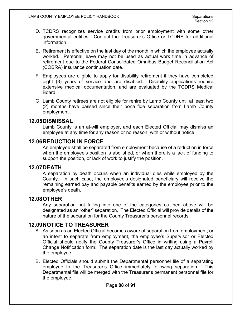- D. TCDRS recognizes service credits from prior employment with some other governmental entities. Contact the Treasurer's Office or TCDRS for additional information.
- E. Retirement is effective on the last day of the month in which the employee actually worked. Personal leave may not be used as actual work time in advance of retirement due to the Federal Consolidated Omnibus Budget Reconciliation Act (COBRA) insurance continuation date.
- F. Employees are eligible to apply for disability retirement if they have completed eight (8) years of service and are disabled. Disability applications require extensive medical documentation, and are evaluated by the TCDRS Medical Board.
- G. Lamb County retirees are not eligible for rehire by Lamb County until at least two (2) months have passed since their bona fide separation from Lamb County employment.

### **12.05DISMISSAL**

Lamb County is an at-will employer, and each Elected Official may dismiss an employee at any time for any reason or no reason, with or without notice.

### **12.06REDUCTION IN FORCE**

An employee shall be separated from employment because of a reduction in force when the employee's position is abolished, or when there is a lack of funding to support the position, or lack of work to justify the position.

### **12.07DEATH**

A separation by death occurs when an individual dies while employed by the County. In such case, the employee's designated beneficiary will receive the remaining earned pay and payable benefits earned by the employee prior to the employee's death.

### **12.08OTHER**

Any separation not falling into one of the categories outlined above will be designated as an "other" separation. The Elected Official will provide details of the nature of the separation for the County Treasurer's personnel records.

# **12.09NOTICE TO TREASURER**

- A. As soon as an Elected Official becomes aware of separation from employment, or an intent to separate from employment, the employee's Supervisor or Elected Official should notify the County Treasurer's Office in writing using a Payroll Change Notification form. The separation date is the last day actually worked by the employee.
- B. Elected Officials should submit the Departmental personnel file of a separating employee to the Treasurer's Office immediately following separation. This Departmental file will be merged with the Treasurer's permanent personnel file for the employee.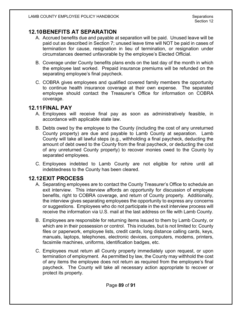### **12.10BENEFITS AT SEPARATION**

- A. Accrued benefits due and payable at separation will be paid. Unused leave will be paid out as described in Section 7; unused leave time will NOT be paid in cases of termination for cause, resignation in lieu of termination, or resignation under circumstances deemed unfavorable by the employee's Elected Official.
- B. Coverage under County benefits plans ends on the last day of the month in which the employee last worked. Prepaid insurance premiums will be refunded on the separating employee's final paycheck.
- C. COBRA gives employees and qualified covered family members the opportunity to continue health insurance coverage at their own expense. The separated employee should contact the Treasurer's Office for information on COBRA coverage.

### **12.11FINAL PAY**

- A. Employees will receive final pay as soon as administratively feasible, in accordance with applicable state law.
- B. Debts owed by the employee to the County (including the cost of any unreturned County property) are due and payable to Lamb County at separation. Lamb County will take all lawful steps (e.g., withholding a final paycheck, deducting the amount of debt owed to the County from the final paycheck, or deducting the cost of any unreturned County property) to recover monies owed to the County by separated employees.
- C. Employees indebted to Lamb County are not eligible for rehire until all indebtedness to the County has been cleared.

# **12.12EXIT PROCESS**

- A. Separating employees are to contact the County Treasurer's Office to schedule an exit interview. This interview affords an opportunity for discussion of employee benefits, right to COBRA coverage, and return of County property. Additionally, the interview gives separating employees the opportunity to express any concerns or suggestions. Employees who do not participate in the exit interview process will receive the information via U.S. mail at the last address on file with Lamb County.
- B. Employees are responsible for returning items issued to them by Lamb County, or which are in their possession or control. This includes, but is not limited to: County files or paperwork, employee lists, credit cards, long distance calling cards, keys, manuals, laptops, telephones, electronic devices, computers, modems, printers, facsimile machines, uniforms, identification badges, etc.
- C. Employees must return all County property immediately upon request, or upon termination of employment. As permitted by law, the County may withhold the cost of any items the employee does not return as required from the employee's final paycheck. The County will take all necessary action appropriate to recover or protect its property.